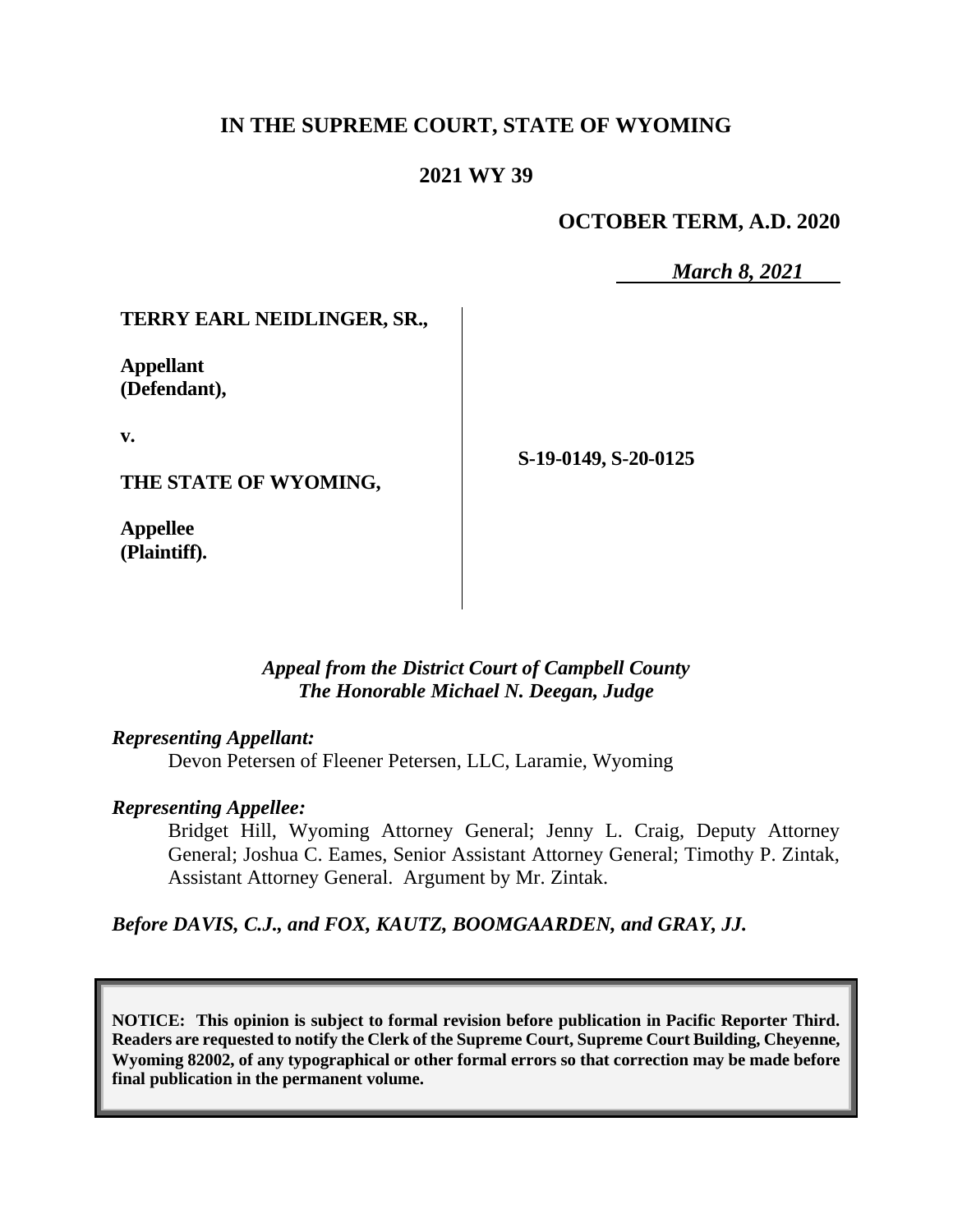## **IN THE SUPREME COURT, STATE OF WYOMING**

## **2021 WY 39**

## **OCTOBER TERM, A.D. 2020**

*March 8, 2021*

### **TERRY EARL NEIDLINGER, SR.,**

**Appellant (Defendant),**

**v.**

**THE STATE OF WYOMING,**

**Appellee (Plaintiff).** **S-19-0149, S-20-0125**

### *Appeal from the District Court of Campbell County The Honorable Michael N. Deegan, Judge*

#### *Representing Appellant:*

Devon Petersen of Fleener Petersen, LLC, Laramie, Wyoming

#### *Representing Appellee:*

Bridget Hill, Wyoming Attorney General; Jenny L. Craig, Deputy Attorney General; Joshua C. Eames, Senior Assistant Attorney General; Timothy P. Zintak, Assistant Attorney General. Argument by Mr. Zintak.

*Before DAVIS, C.J., and FOX, KAUTZ, BOOMGAARDEN, and GRAY, JJ.*

**NOTICE: This opinion is subject to formal revision before publication in Pacific Reporter Third. Readers are requested to notify the Clerk of the Supreme Court, Supreme Court Building, Cheyenne, Wyoming 82002, of any typographical or other formal errors so that correction may be made before final publication in the permanent volume.**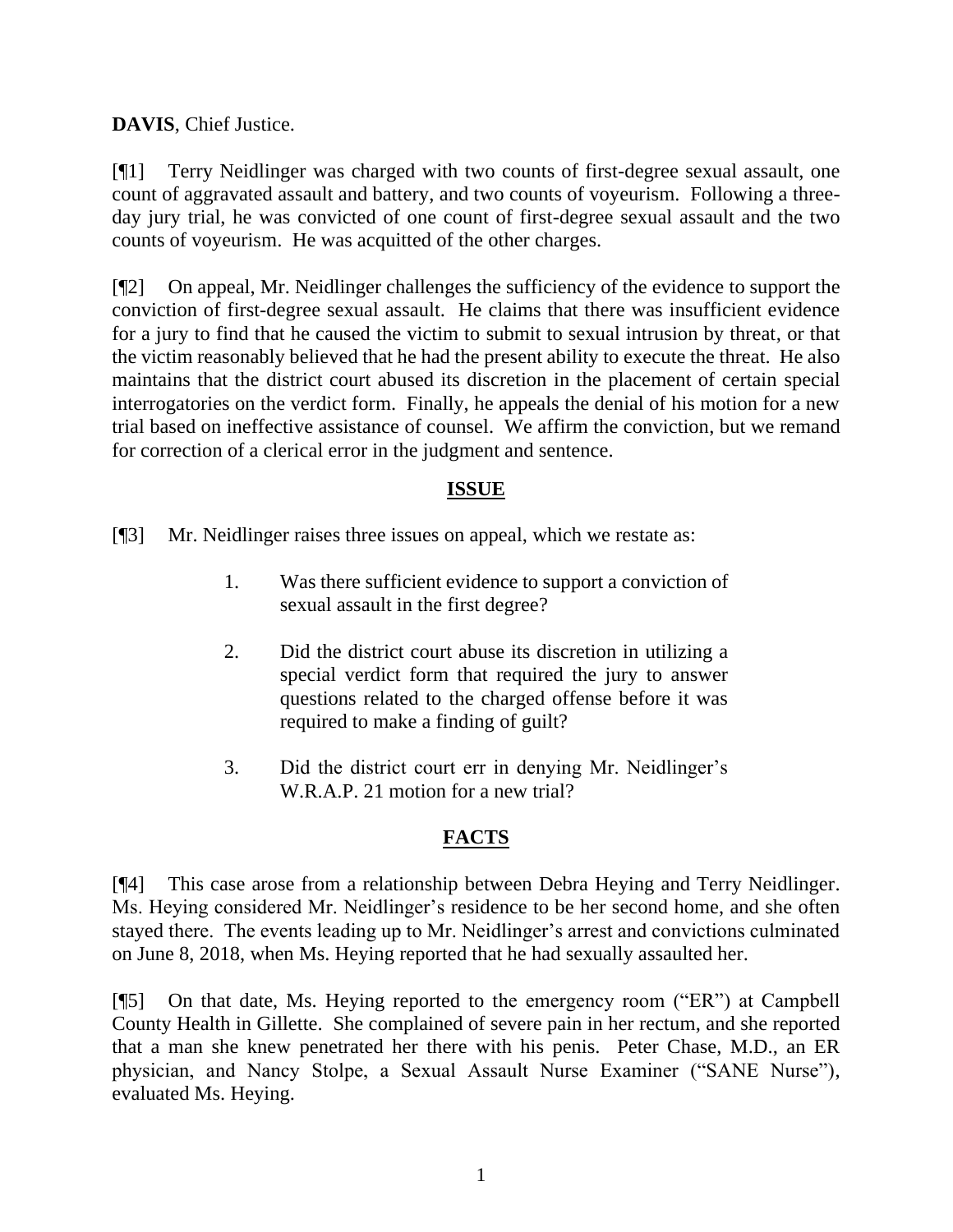**DAVIS**, Chief Justice.

[¶1] Terry Neidlinger was charged with two counts of first-degree sexual assault, one count of aggravated assault and battery, and two counts of voyeurism. Following a threeday jury trial, he was convicted of one count of first-degree sexual assault and the two counts of voyeurism. He was acquitted of the other charges.

[¶2] On appeal, Mr. Neidlinger challenges the sufficiency of the evidence to support the conviction of first-degree sexual assault. He claims that there was insufficient evidence for a jury to find that he caused the victim to submit to sexual intrusion by threat, or that the victim reasonably believed that he had the present ability to execute the threat. He also maintains that the district court abused its discretion in the placement of certain special interrogatories on the verdict form. Finally, he appeals the denial of his motion for a new trial based on ineffective assistance of counsel. We affirm the conviction, but we remand for correction of a clerical error in the judgment and sentence.

# **ISSUE**

[¶3] Mr. Neidlinger raises three issues on appeal, which we restate as:

- 1. Was there sufficient evidence to support a conviction of sexual assault in the first degree?
- 2. Did the district court abuse its discretion in utilizing a special verdict form that required the jury to answer questions related to the charged offense before it was required to make a finding of guilt?
- 3. Did the district court err in denying Mr. Neidlinger's W.R.A.P. 21 motion for a new trial?

# **FACTS**

[¶4] This case arose from a relationship between Debra Heying and Terry Neidlinger. Ms. Heying considered Mr. Neidlinger's residence to be her second home, and she often stayed there. The events leading up to Mr. Neidlinger's arrest and convictions culminated on June 8, 2018, when Ms. Heying reported that he had sexually assaulted her.

[¶5] On that date, Ms. Heying reported to the emergency room ("ER") at Campbell County Health in Gillette. She complained of severe pain in her rectum, and she reported that a man she knew penetrated her there with his penis. Peter Chase, M.D., an ER physician, and Nancy Stolpe, a Sexual Assault Nurse Examiner ("SANE Nurse"), evaluated Ms. Heying.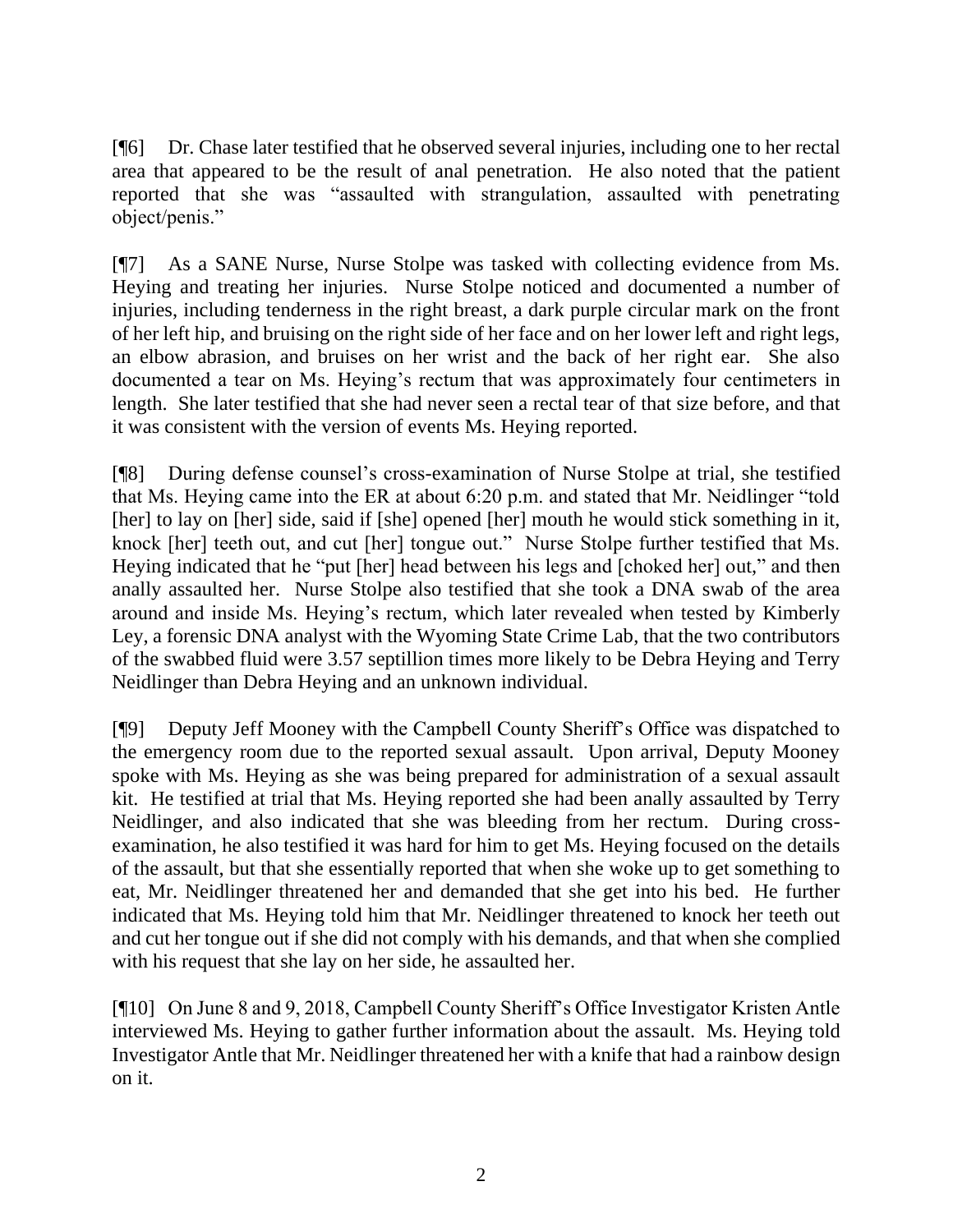[¶6] Dr. Chase later testified that he observed several injuries, including one to her rectal area that appeared to be the result of anal penetration. He also noted that the patient reported that she was "assaulted with strangulation, assaulted with penetrating object/penis."

[¶7] As a SANE Nurse, Nurse Stolpe was tasked with collecting evidence from Ms. Heying and treating her injuries. Nurse Stolpe noticed and documented a number of injuries, including tenderness in the right breast, a dark purple circular mark on the front of her left hip, and bruising on the right side of her face and on her lower left and right legs, an elbow abrasion, and bruises on her wrist and the back of her right ear. She also documented a tear on Ms. Heying's rectum that was approximately four centimeters in length. She later testified that she had never seen a rectal tear of that size before, and that it was consistent with the version of events Ms. Heying reported.

[¶8] During defense counsel's cross-examination of Nurse Stolpe at trial, she testified that Ms. Heying came into the ER at about 6:20 p.m. and stated that Mr. Neidlinger "told [her] to lay on [her] side, said if [she] opened [her] mouth he would stick something in it, knock [her] teeth out, and cut [her] tongue out." Nurse Stolpe further testified that Ms. Heying indicated that he "put [her] head between his legs and [choked her] out," and then anally assaulted her. Nurse Stolpe also testified that she took a DNA swab of the area around and inside Ms. Heying's rectum, which later revealed when tested by Kimberly Ley, a forensic DNA analyst with the Wyoming State Crime Lab, that the two contributors of the swabbed fluid were 3.57 septillion times more likely to be Debra Heying and Terry Neidlinger than Debra Heying and an unknown individual.

[¶9] Deputy Jeff Mooney with the Campbell County Sheriff's Office was dispatched to the emergency room due to the reported sexual assault. Upon arrival, Deputy Mooney spoke with Ms. Heying as she was being prepared for administration of a sexual assault kit. He testified at trial that Ms. Heying reported she had been anally assaulted by Terry Neidlinger, and also indicated that she was bleeding from her rectum. During crossexamination, he also testified it was hard for him to get Ms. Heying focused on the details of the assault, but that she essentially reported that when she woke up to get something to eat, Mr. Neidlinger threatened her and demanded that she get into his bed. He further indicated that Ms. Heying told him that Mr. Neidlinger threatened to knock her teeth out and cut her tongue out if she did not comply with his demands, and that when she complied with his request that she lay on her side, he assaulted her.

[¶10] On June 8 and 9, 2018, Campbell County Sheriff's Office Investigator Kristen Antle interviewed Ms. Heying to gather further information about the assault. Ms. Heying told Investigator Antle that Mr. Neidlinger threatened her with a knife that had a rainbow design on it.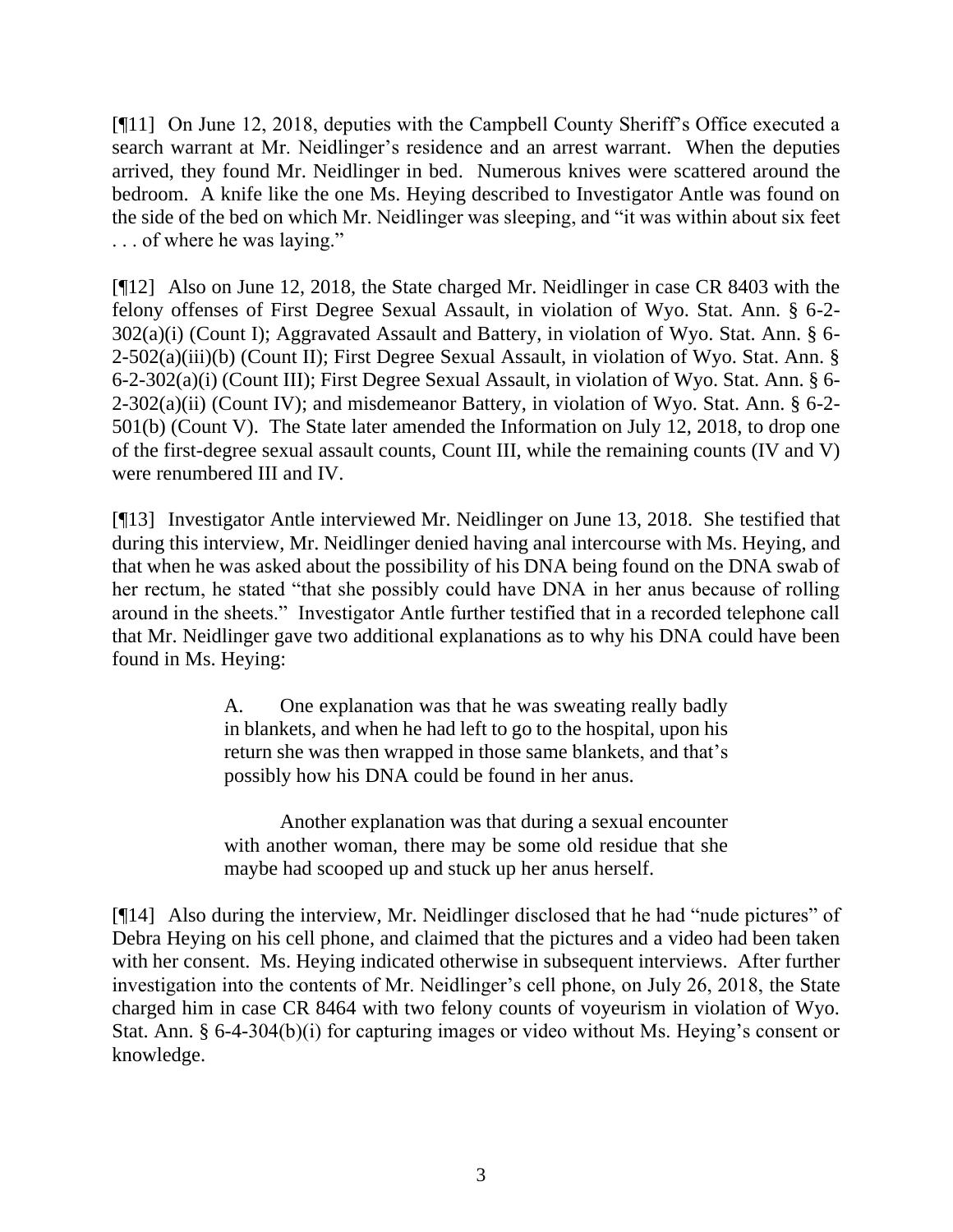[¶11] On June 12, 2018, deputies with the Campbell County Sheriff's Office executed a search warrant at Mr. Neidlinger's residence and an arrest warrant. When the deputies arrived, they found Mr. Neidlinger in bed. Numerous knives were scattered around the bedroom. A knife like the one Ms. Heying described to Investigator Antle was found on the side of the bed on which Mr. Neidlinger was sleeping, and "it was within about six feet . . . of where he was laying."

[¶12] Also on June 12, 2018, the State charged Mr. Neidlinger in case CR 8403 with the felony offenses of First Degree Sexual Assault, in violation of Wyo. Stat. Ann. § 6-2- 302(a)(i) (Count I); Aggravated Assault and Battery, in violation of Wyo. Stat. Ann. § 6- 2-502(a)(iii)(b) (Count II); First Degree Sexual Assault, in violation of Wyo. Stat. Ann. § 6-2-302(a)(i) (Count III); First Degree Sexual Assault, in violation of Wyo. Stat. Ann. § 6- 2-302(a)(ii) (Count IV); and misdemeanor Battery, in violation of Wyo. Stat. Ann. § 6-2- 501(b) (Count V). The State later amended the Information on July 12, 2018, to drop one of the first-degree sexual assault counts, Count III, while the remaining counts (IV and V) were renumbered III and IV.

[¶13] Investigator Antle interviewed Mr. Neidlinger on June 13, 2018. She testified that during this interview, Mr. Neidlinger denied having anal intercourse with Ms. Heying, and that when he was asked about the possibility of his DNA being found on the DNA swab of her rectum, he stated "that she possibly could have DNA in her anus because of rolling around in the sheets." Investigator Antle further testified that in a recorded telephone call that Mr. Neidlinger gave two additional explanations as to why his DNA could have been found in Ms. Heying:

> A. One explanation was that he was sweating really badly in blankets, and when he had left to go to the hospital, upon his return she was then wrapped in those same blankets, and that's possibly how his DNA could be found in her anus.

> Another explanation was that during a sexual encounter with another woman, there may be some old residue that she maybe had scooped up and stuck up her anus herself.

[¶14] Also during the interview, Mr. Neidlinger disclosed that he had "nude pictures" of Debra Heying on his cell phone, and claimed that the pictures and a video had been taken with her consent. Ms. Heying indicated otherwise in subsequent interviews. After further investigation into the contents of Mr. Neidlinger's cell phone, on July 26, 2018, the State charged him in case CR 8464 with two felony counts of voyeurism in violation of Wyo. Stat. Ann. § 6-4-304(b)(i) for capturing images or video without Ms. Heying's consent or knowledge.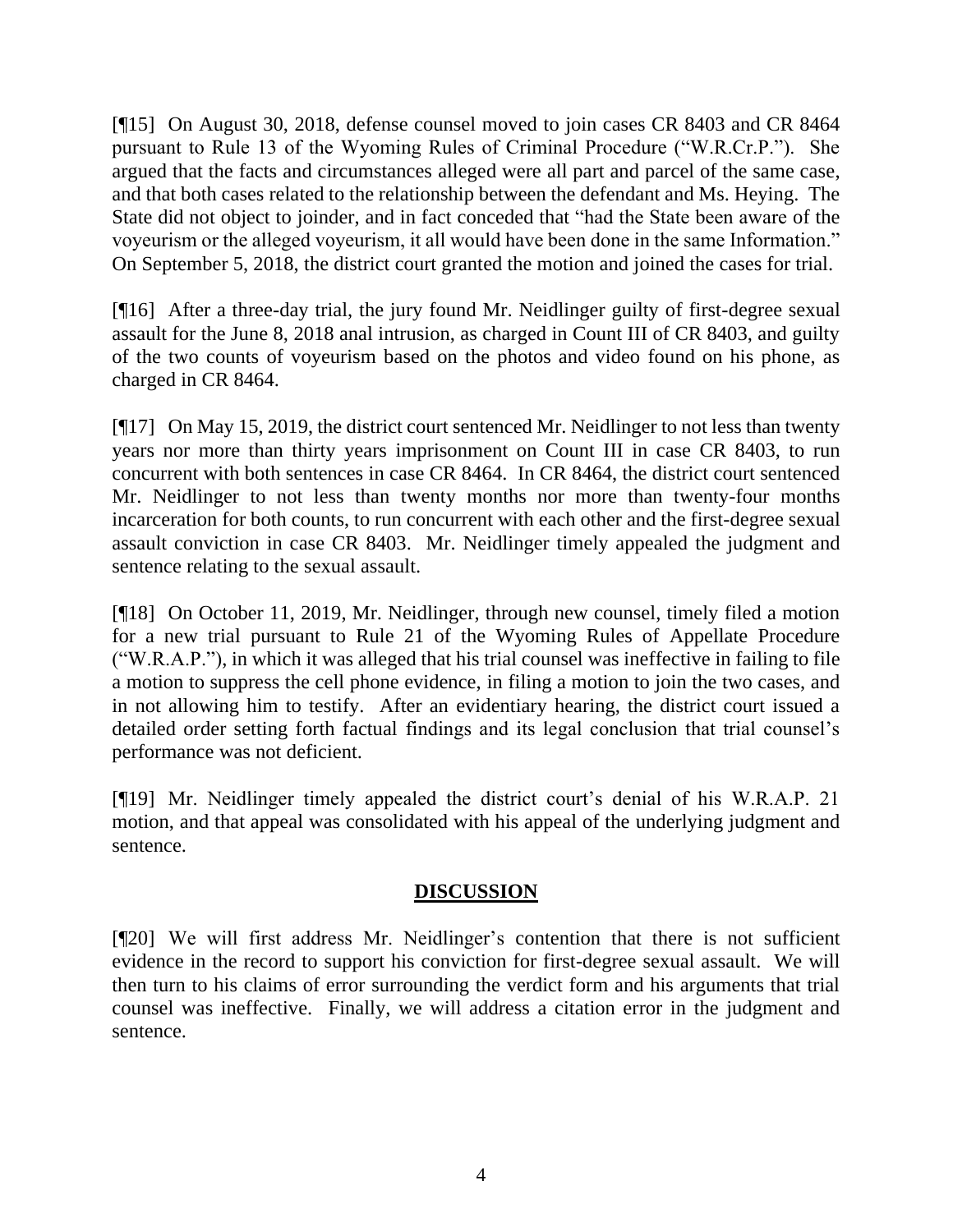[¶15] On August 30, 2018, defense counsel moved to join cases CR 8403 and CR 8464 pursuant to Rule 13 of the Wyoming Rules of Criminal Procedure ("W.R.Cr.P."). She argued that the facts and circumstances alleged were all part and parcel of the same case, and that both cases related to the relationship between the defendant and Ms. Heying. The State did not object to joinder, and in fact conceded that "had the State been aware of the voyeurism or the alleged voyeurism, it all would have been done in the same Information." On September 5, 2018, the district court granted the motion and joined the cases for trial.

[¶16] After a three-day trial, the jury found Mr. Neidlinger guilty of first-degree sexual assault for the June 8, 2018 anal intrusion, as charged in Count III of CR 8403, and guilty of the two counts of voyeurism based on the photos and video found on his phone, as charged in CR 8464.

[¶17] On May 15, 2019, the district court sentenced Mr. Neidlinger to not less than twenty years nor more than thirty years imprisonment on Count III in case CR 8403, to run concurrent with both sentences in case CR 8464. In CR 8464, the district court sentenced Mr. Neidlinger to not less than twenty months nor more than twenty-four months incarceration for both counts, to run concurrent with each other and the first-degree sexual assault conviction in case CR 8403. Mr. Neidlinger timely appealed the judgment and sentence relating to the sexual assault.

[¶18] On October 11, 2019, Mr. Neidlinger, through new counsel, timely filed a motion for a new trial pursuant to Rule 21 of the Wyoming Rules of Appellate Procedure ("W.R.A.P."), in which it was alleged that his trial counsel was ineffective in failing to file a motion to suppress the cell phone evidence, in filing a motion to join the two cases, and in not allowing him to testify. After an evidentiary hearing, the district court issued a detailed order setting forth factual findings and its legal conclusion that trial counsel's performance was not deficient.

[¶19] Mr. Neidlinger timely appealed the district court's denial of his W.R.A.P. 21 motion, and that appeal was consolidated with his appeal of the underlying judgment and sentence.

### **DISCUSSION**

[¶20] We will first address Mr. Neidlinger's contention that there is not sufficient evidence in the record to support his conviction for first-degree sexual assault. We will then turn to his claims of error surrounding the verdict form and his arguments that trial counsel was ineffective. Finally, we will address a citation error in the judgment and sentence.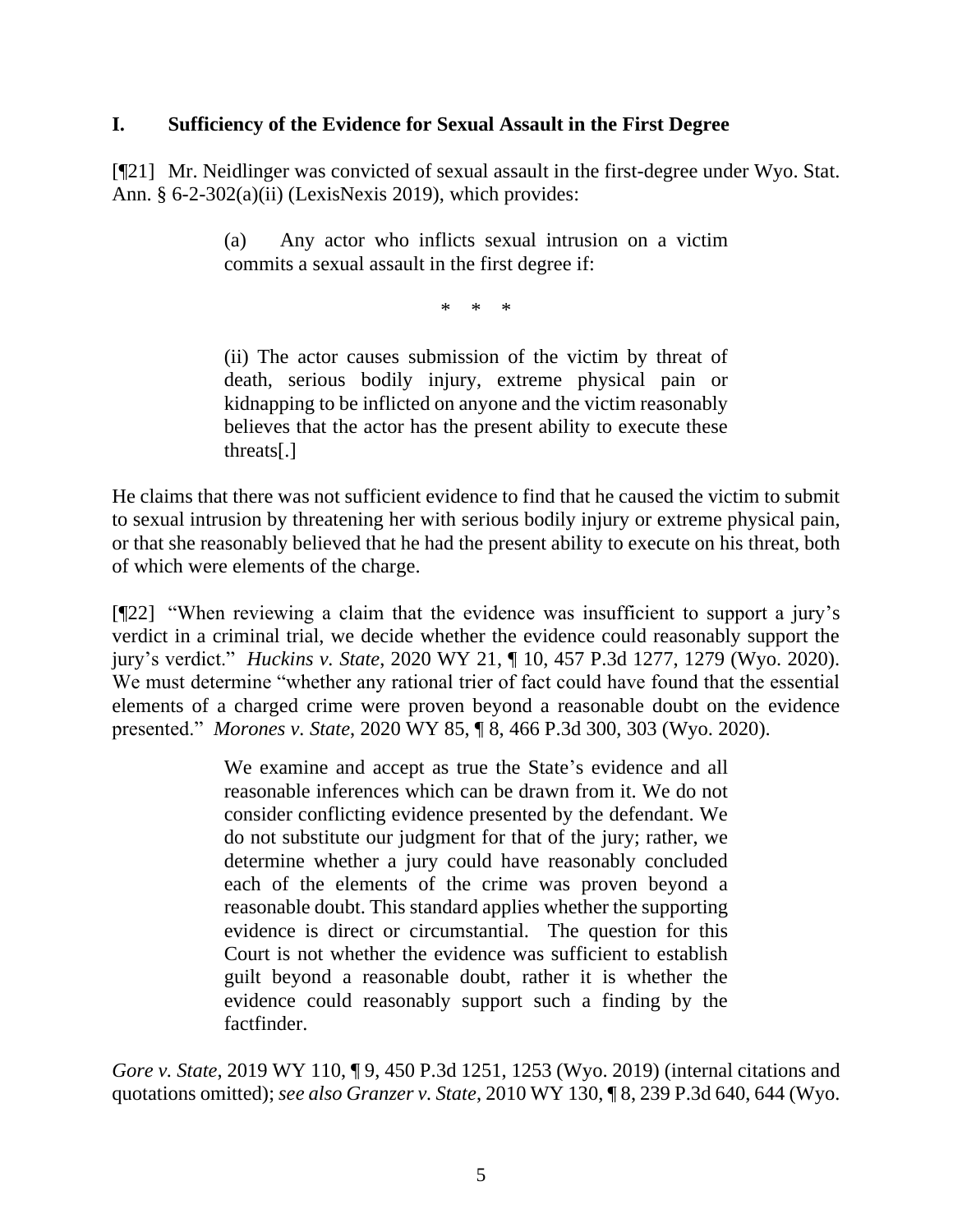#### **I. Sufficiency of the Evidence for Sexual Assault in the First Degree**

[¶21] Mr. Neidlinger was convicted of sexual assault in the first-degree under Wyo. Stat. Ann. § 6-2-302(a)(ii) (LexisNexis 2019), which provides:

> (a) Any actor who inflicts sexual intrusion on a victim commits a sexual assault in the first degree if:

> > \* \* \*

(ii) The actor causes submission of the victim by threat of death, serious bodily injury, extreme physical pain or kidnapping to be inflicted on anyone and the victim reasonably believes that the actor has the present ability to execute these threats[.]

He claims that there was not sufficient evidence to find that he caused the victim to submit to sexual intrusion by threatening her with serious bodily injury or extreme physical pain, or that she reasonably believed that he had the present ability to execute on his threat, both of which were elements of the charge.

[¶22] "When reviewing a claim that the evidence was insufficient to support a jury's verdict in a criminal trial, we decide whether the evidence could reasonably support the jury's verdict." *Huckins v. State*, 2020 WY 21, ¶ 10, 457 P.3d 1277, 1279 (Wyo. 2020). We must determine "whether any rational trier of fact could have found that the essential elements of a charged crime were proven beyond a reasonable doubt on the evidence presented." *Morones v. State*, 2020 WY 85, ¶ 8, 466 P.3d 300, 303 (Wyo. 2020).

> We examine and accept as true the State's evidence and all reasonable inferences which can be drawn from it. We do not consider conflicting evidence presented by the defendant. We do not substitute our judgment for that of the jury; rather, we determine whether a jury could have reasonably concluded each of the elements of the crime was proven beyond a reasonable doubt. This standard applies whether the supporting evidence is direct or circumstantial. The question for this Court is not whether the evidence was sufficient to establish guilt beyond a reasonable doubt, rather it is whether the evidence could reasonably support such a finding by the factfinder.

*Gore v. State*, 2019 WY 110, 19, 450 P.3d 1251, 1253 (Wyo. 2019) (internal citations and quotations omitted); *see also Granzer v. State*, 2010 WY 130, ¶ 8, 239 P.3d 640, 644 (Wyo.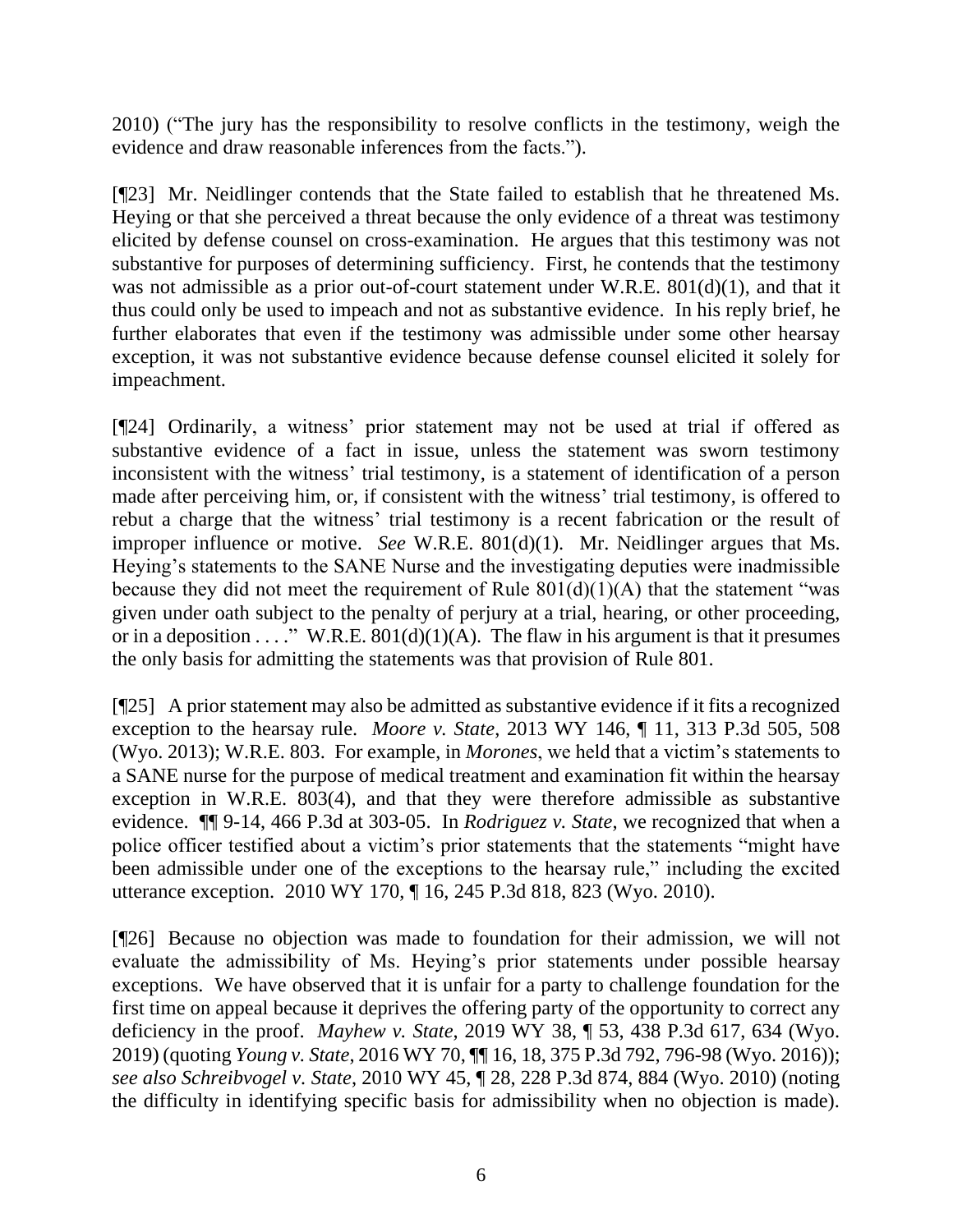2010) ("The jury has the responsibility to resolve conflicts in the testimony, weigh the evidence and draw reasonable inferences from the facts.").

[¶23] Mr. Neidlinger contends that the State failed to establish that he threatened Ms. Heying or that she perceived a threat because the only evidence of a threat was testimony elicited by defense counsel on cross-examination. He argues that this testimony was not substantive for purposes of determining sufficiency. First, he contends that the testimony was not admissible as a prior out-of-court statement under W.R.E. 801(d)(1), and that it thus could only be used to impeach and not as substantive evidence. In his reply brief, he further elaborates that even if the testimony was admissible under some other hearsay exception, it was not substantive evidence because defense counsel elicited it solely for impeachment.

[¶24] Ordinarily, a witness' prior statement may not be used at trial if offered as substantive evidence of a fact in issue, unless the statement was sworn testimony inconsistent with the witness' trial testimony, is a statement of identification of a person made after perceiving him, or, if consistent with the witness' trial testimony, is offered to rebut a charge that the witness' trial testimony is a recent fabrication or the result of improper influence or motive. *See* W.R.E. 801(d)(1). Mr. Neidlinger argues that Ms. Heying's statements to the SANE Nurse and the investigating deputies were inadmissible because they did not meet the requirement of Rule  $801(d)(1)(A)$  that the statement "was given under oath subject to the penalty of perjury at a trial, hearing, or other proceeding, or in a deposition . . . . " W.R.E.  $\frac{801(d)(1)(A)}{A}$ . The flaw in his argument is that it presumes the only basis for admitting the statements was that provision of Rule 801.

[¶25] A prior statement may also be admitted as substantive evidence if it fits a recognized exception to the hearsay rule. *Moore v. State*, 2013 WY 146, ¶ 11, 313 P.3d 505, 508 (Wyo. 2013); W.R.E. 803. For example, in *Morones*, we held that a victim's statements to a SANE nurse for the purpose of medical treatment and examination fit within the hearsay exception in W.R.E. 803(4), and that they were therefore admissible as substantive evidence. ¶¶ 9-14, 466 P.3d at 303-05. In *Rodriguez v. State*, we recognized that when a police officer testified about a victim's prior statements that the statements "might have been admissible under one of the exceptions to the hearsay rule," including the excited utterance exception. 2010 WY 170, ¶ 16, 245 P.3d 818, 823 (Wyo. 2010).

[¶26] Because no objection was made to foundation for their admission, we will not evaluate the admissibility of Ms. Heying's prior statements under possible hearsay exceptions. We have observed that it is unfair for a party to challenge foundation for the first time on appeal because it deprives the offering party of the opportunity to correct any deficiency in the proof. *Mayhew v. State*, 2019 WY 38, ¶ 53, 438 P.3d 617, 634 (Wyo. 2019) (quoting *Young v. State*, 2016 WY 70, ¶¶ 16, [18, 375 P.3d 792, 796-98 \(Wyo. 2016\)\)](http://www.westlaw.com/Link/Document/FullText?findType=Y&serNum=2039383819&pubNum=0004645&originatingDoc=Ic8ad99b05b1211e98440d2eaaa3f7dec&refType=RP&fi=co_pp_sp_4645_796&originationContext=document&vr=3.0&rs=cblt1.0&transitionType=DocumentItem&contextData=(sc.Keycite)#co_pp_sp_4645_796); *see also Schreibvogel v. State*, 2010 WY 45, ¶ 28, 228 P.3d 874, 884 (Wyo. 2010) (noting the difficulty in identifying specific basis for admissibility when no objection is made).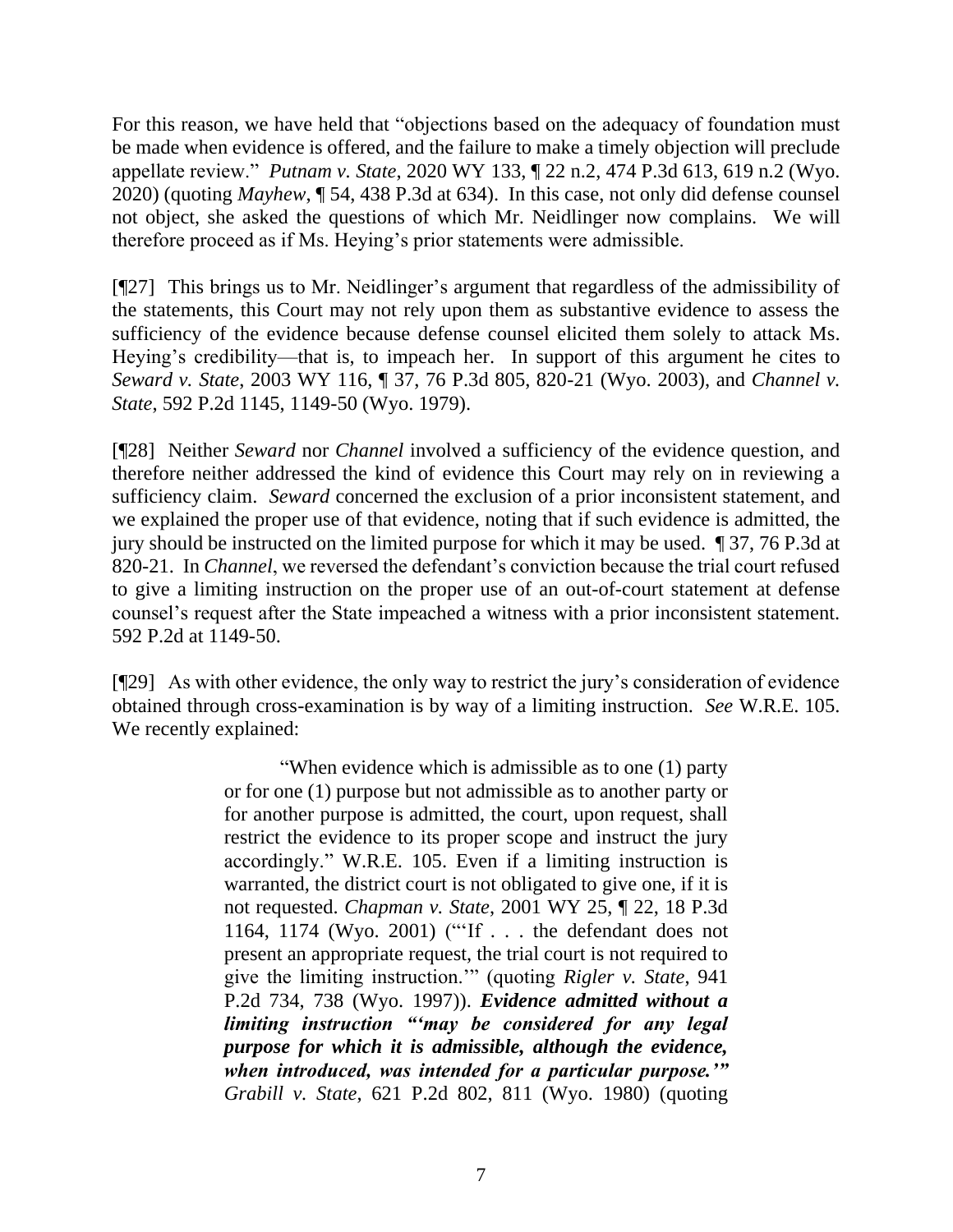For this reason, we have held that "objections based on the adequacy of foundation must be made when evidence is offered, and the failure to make a timely objection will preclude appellate review." *Putnam v. State*, 2020 WY 133, ¶ 22 n.2, 474 P.3d 613, 619 n.2 (Wyo. 2020) (quoting *Mayhew*[, ¶ 54, 438 P.3d at 634\).](http://www.westlaw.com/Link/Document/FullText?findType=Y&serNum=2047958125&pubNum=0004645&originatingDoc=I9b5f26b0100411eb8cd5c20cd8227000&refType=RP&fi=co_pp_sp_4645_634&originationContext=document&vr=3.0&rs=cblt1.0&transitionType=DocumentItem&contextData=(sc.Keycite)#co_pp_sp_4645_634) In this case, not only did defense counsel not object, she asked the questions of which Mr. Neidlinger now complains. We will therefore proceed as if Ms. Heying's prior statements were admissible.

[¶27] This brings us to Mr. Neidlinger's argument that regardless of the admissibility of the statements, this Court may not rely upon them as substantive evidence to assess the sufficiency of the evidence because defense counsel elicited them solely to attack Ms. Heying's credibility—that is, to impeach her. In support of this argument he cites to *Seward v. State*, 2003 WY 116, ¶ 37, 76 P.3d 805, 820-21 (Wyo. 2003), and *Channel v. State*, 592 P.2d 1145, 1149-50 (Wyo. 1979).

[¶28] Neither *Seward* nor *Channel* involved a sufficiency of the evidence question, and therefore neither addressed the kind of evidence this Court may rely on in reviewing a sufficiency claim. *Seward* concerned the exclusion of a prior inconsistent statement, and we explained the proper use of that evidence, noting that if such evidence is admitted, the jury should be instructed on the limited purpose for which it may be used. ¶ 37, 76 P.3d at 820-21. In *Channel*, we reversed the defendant's conviction because the trial court refused to give a limiting instruction on the proper use of an out-of-court statement at defense counsel's request after the State impeached a witness with a prior inconsistent statement. 592 P.2d at 1149-50.

[¶29] As with other evidence, the only way to restrict the jury's consideration of evidence obtained through cross-examination is by way of a limiting instruction. *See* W.R.E. 105. We recently explained:

> "When evidence which is admissible as to one (1) party or for one (1) purpose but not admissible as to another party or for another purpose is admitted, the court, upon request, shall restrict the evidence to its proper scope and instruct the jury accordingly." [W.R.E. 105.](http://www.westlaw.com/Link/Document/FullText?findType=L&pubNum=1008789&cite=WYRREVR105&originatingDoc=Ida4578b0506f11eb960a9329eed1cde2&refType=LQ&originationContext=document&vr=3.0&rs=cblt1.0&transitionType=DocumentItem&contextData=(sc.UserEnteredCitation)) Even if a limiting instruction is warranted, the district court is not obligated to give one, if it is not requested. *Chapman v. State*[, 2001 WY 25, ¶ 22, 18 P.3d](http://www.westlaw.com/Link/Document/FullText?findType=Y&serNum=2001191334&pubNum=0004645&originatingDoc=Ida4578b0506f11eb960a9329eed1cde2&refType=RP&fi=co_pp_sp_4645_1174&originationContext=document&vr=3.0&rs=cblt1.0&transitionType=DocumentItem&contextData=(sc.UserEnteredCitation)#co_pp_sp_4645_1174)  [1164, 1174 \(Wyo. 2001\)](http://www.westlaw.com/Link/Document/FullText?findType=Y&serNum=2001191334&pubNum=0004645&originatingDoc=Ida4578b0506f11eb960a9329eed1cde2&refType=RP&fi=co_pp_sp_4645_1174&originationContext=document&vr=3.0&rs=cblt1.0&transitionType=DocumentItem&contextData=(sc.UserEnteredCitation)#co_pp_sp_4645_1174) ("'If . . . the defendant does not present an appropriate request, the trial court is not required to give the limiting instruction.'" (quoting *[Rigler v. State](http://www.westlaw.com/Link/Document/FullText?findType=Y&serNum=1997129460&pubNum=0000661&originatingDoc=Ida4578b0506f11eb960a9329eed1cde2&refType=RP&fi=co_pp_sp_661_738&originationContext=document&vr=3.0&rs=cblt1.0&transitionType=DocumentItem&contextData=(sc.UserEnteredCitation)#co_pp_sp_661_738)*, 941 [P.2d 734, 738 \(Wyo. 1997\)\)](http://www.westlaw.com/Link/Document/FullText?findType=Y&serNum=1997129460&pubNum=0000661&originatingDoc=Ida4578b0506f11eb960a9329eed1cde2&refType=RP&fi=co_pp_sp_661_738&originationContext=document&vr=3.0&rs=cblt1.0&transitionType=DocumentItem&contextData=(sc.UserEnteredCitation)#co_pp_sp_661_738). *Evidence admitted without a limiting instruction "'may be considered for any legal purpose for which it is admissible, although the evidence, when introduced, was intended for a particular purpose.'" Grabill v. State*, [621 P.2d 802, 811 \(Wyo. 1980\)](http://www.westlaw.com/Link/Document/FullText?findType=Y&serNum=1980150303&pubNum=0000661&originatingDoc=Ida4578b0506f11eb960a9329eed1cde2&refType=RP&fi=co_pp_sp_661_811&originationContext=document&vr=3.0&rs=cblt1.0&transitionType=DocumentItem&contextData=(sc.UserEnteredCitation)#co_pp_sp_661_811) (quoting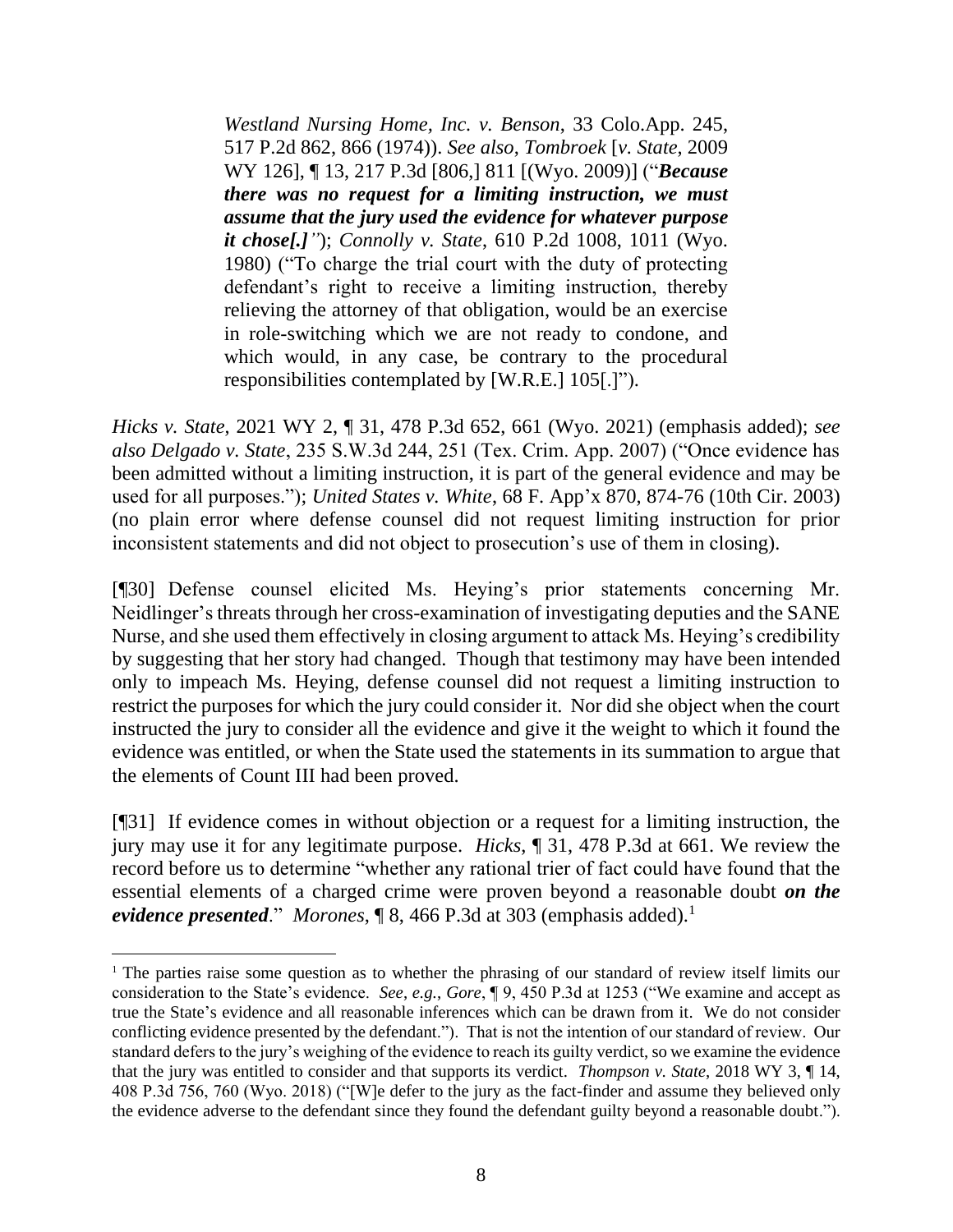*[Westland Nursing Home, Inc. v. Benson](http://www.westlaw.com/Link/Document/FullText?findType=Y&serNum=1974122743&pubNum=0000661&originatingDoc=Ida4578b0506f11eb960a9329eed1cde2&refType=RP&fi=co_pp_sp_661_866&originationContext=document&vr=3.0&rs=cblt1.0&transitionType=DocumentItem&contextData=(sc.UserEnteredCitation)#co_pp_sp_661_866)*, 33 Colo.App. 245, [517 P.2d 862, 866 \(1974\)\)](http://www.westlaw.com/Link/Document/FullText?findType=Y&serNum=1974122743&pubNum=0000661&originatingDoc=Ida4578b0506f11eb960a9329eed1cde2&refType=RP&fi=co_pp_sp_661_866&originationContext=document&vr=3.0&rs=cblt1.0&transitionType=DocumentItem&contextData=(sc.UserEnteredCitation)#co_pp_sp_661_866). *See also*, *[Tombroek](http://www.westlaw.com/Link/Document/FullText?findType=Y&serNum=2020121916&pubNum=0004645&originatingDoc=Ida4578b0506f11eb960a9329eed1cde2&refType=RP&fi=co_pp_sp_4645_811&originationContext=document&vr=3.0&rs=cblt1.0&transitionType=DocumentItem&contextData=(sc.UserEnteredCitation)#co_pp_sp_4645_811)* [*v. State*, 2009 [WY 126\], ¶ 13, 217 P.3d](http://www.westlaw.com/Link/Document/FullText?findType=Y&serNum=2020121916&pubNum=0004645&originatingDoc=Ida4578b0506f11eb960a9329eed1cde2&refType=RP&fi=co_pp_sp_4645_811&originationContext=document&vr=3.0&rs=cblt1.0&transitionType=DocumentItem&contextData=(sc.UserEnteredCitation)#co_pp_sp_4645_811) [806,] 811 [(Wyo. 2009)] ("*Because there was no request for a limiting instruction, we must assume that the jury used the evidence for whatever purpose it chose[.]"*); *Connolly v. State*[, 610 P.2d 1008, 1011 \(Wyo.](http://www.westlaw.com/Link/Document/FullText?findType=Y&serNum=1980114668&pubNum=0000661&originatingDoc=Ida4578b0506f11eb960a9329eed1cde2&refType=RP&fi=co_pp_sp_661_1011&originationContext=document&vr=3.0&rs=cblt1.0&transitionType=DocumentItem&contextData=(sc.UserEnteredCitation)#co_pp_sp_661_1011)  [1980\)](http://www.westlaw.com/Link/Document/FullText?findType=Y&serNum=1980114668&pubNum=0000661&originatingDoc=Ida4578b0506f11eb960a9329eed1cde2&refType=RP&fi=co_pp_sp_661_1011&originationContext=document&vr=3.0&rs=cblt1.0&transitionType=DocumentItem&contextData=(sc.UserEnteredCitation)#co_pp_sp_661_1011) ("To charge the trial court with the duty of protecting defendant's right to receive a limiting instruction, thereby relieving the attorney of that obligation, would be an exercise in role-switching which we are not ready to condone, and which would, in any case, be contrary to the procedural responsibilities contemplated by [\[W.R.E.\] 105\[](http://www.westlaw.com/Link/Document/FullText?findType=L&pubNum=1008789&cite=WYRREVR105&originatingDoc=Ida4578b0506f11eb960a9329eed1cde2&refType=LQ&originationContext=document&vr=3.0&rs=cblt1.0&transitionType=DocumentItem&contextData=(sc.UserEnteredCitation)).]").

*Hicks v. State*, 2021 WY 2, ¶ 31, 478 P.3d 652, 661 (Wyo. 2021) (emphasis added); *see also Delgado v. State*, 235 S.W.3d 244, 251 (Tex. Crim. App. 2007) ("Once evidence has been admitted without a limiting instruction, it is part of the general evidence and may be used for all purposes."); *United States v. White*, 68 F. App'x 870, 874-76 (10th Cir. 2003) (no plain error where defense counsel did not request limiting instruction for prior inconsistent statements and did not object to prosecution's use of them in closing).

[¶30] Defense counsel elicited Ms. Heying's prior statements concerning Mr. Neidlinger's threats through her cross-examination of investigating deputies and the SANE Nurse, and she used them effectively in closing argument to attack Ms. Heying's credibility by suggesting that her story had changed. Though that testimony may have been intended only to impeach Ms. Heying, defense counsel did not request a limiting instruction to restrict the purposes for which the jury could consider it. Nor did she object when the court instructed the jury to consider all the evidence and give it the weight to which it found the evidence was entitled, or when the State used the statements in its summation to argue that the elements of Count III had been proved.

[¶31] If evidence comes in without objection or a request for a limiting instruction, the jury may use it for any legitimate purpose. *Hicks*, ¶ 31, 478 P.3d at 661. We review the record before us to determine "whether any rational trier of fact could have found that the essential elements of a charged crime were proven beyond a reasonable doubt *on the evidence presented.*" *Morones*, **[8, 466 P.3d at 303 (emphasis added).**<sup>1</sup>

<sup>&</sup>lt;sup>1</sup> The parties raise some question as to whether the phrasing of our standard of review itself limits our consideration to the State's evidence. *See*, *e.g.*, *Gore*, ¶ 9, 450 P.3d at 1253 ("We examine and accept as true the State's evidence and all reasonable inferences which can be drawn from it. We do not consider conflicting evidence presented by the defendant."). That is not the intention of our standard of review. Our standard defers to the jury's weighing of the evidence to reach its guilty verdict, so we examine the evidence that the jury was entitled to consider and that supports its verdict. *Thompson v. State*, 2018 WY 3, ¶ 14, 408 P.3d 756, 760 (Wyo. 2018) ("[W]e defer to the jury as the fact-finder and assume they believed only the evidence adverse to the defendant since they found the defendant guilty beyond a reasonable doubt.").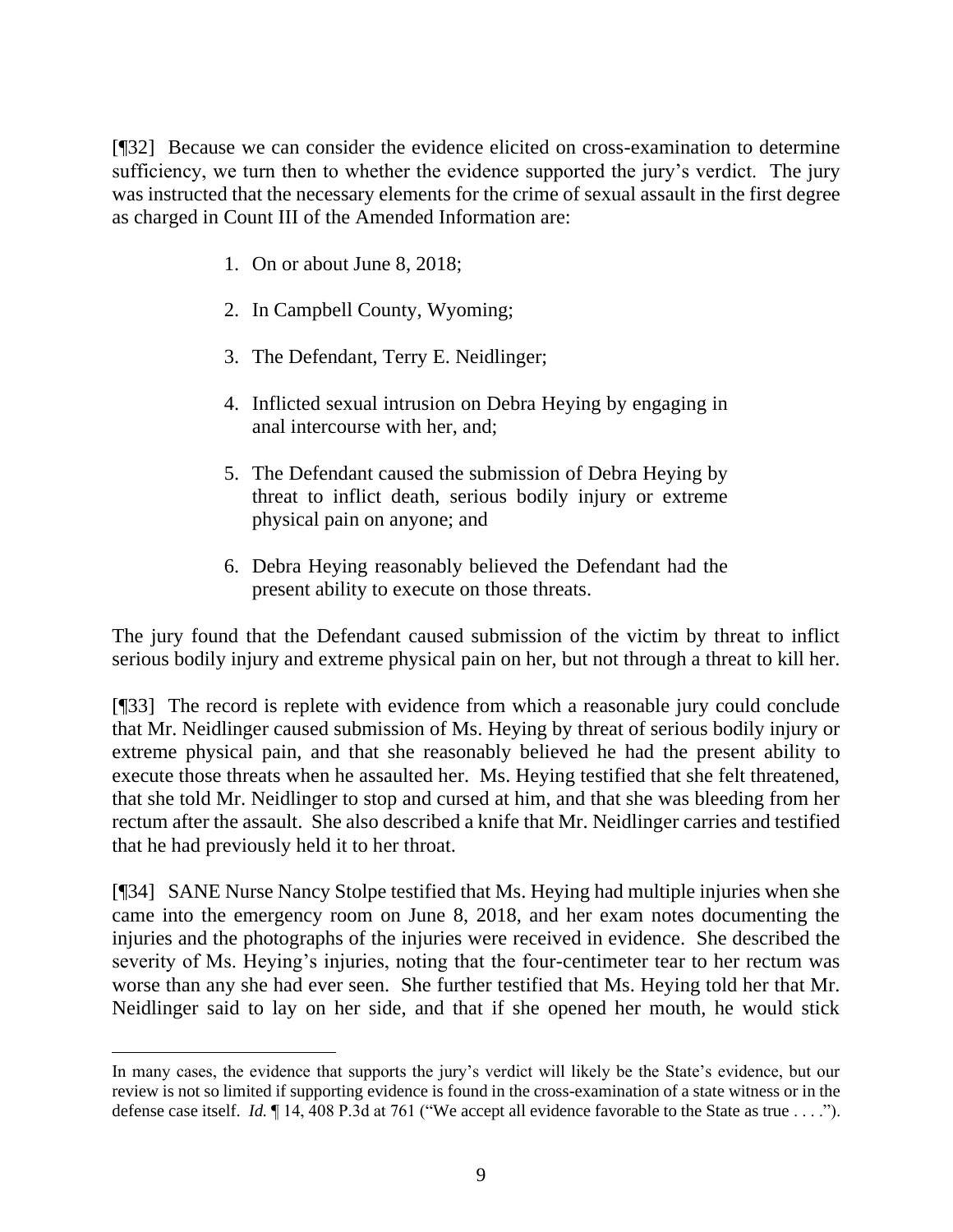[¶32] Because we can consider the evidence elicited on cross-examination to determine sufficiency, we turn then to whether the evidence supported the jury's verdict. The jury was instructed that the necessary elements for the crime of sexual assault in the first degree as charged in Count III of the Amended Information are:

- 1. On or about June 8, 2018;
- 2. In Campbell County, Wyoming;
- 3. The Defendant, Terry E. Neidlinger;
- 4. Inflicted sexual intrusion on Debra Heying by engaging in anal intercourse with her, and;
- 5. The Defendant caused the submission of Debra Heying by threat to inflict death, serious bodily injury or extreme physical pain on anyone; and
- 6. Debra Heying reasonably believed the Defendant had the present ability to execute on those threats.

The jury found that the Defendant caused submission of the victim by threat to inflict serious bodily injury and extreme physical pain on her, but not through a threat to kill her.

[¶33] The record is replete with evidence from which a reasonable jury could conclude that Mr. Neidlinger caused submission of Ms. Heying by threat of serious bodily injury or extreme physical pain, and that she reasonably believed he had the present ability to execute those threats when he assaulted her. Ms. Heying testified that she felt threatened, that she told Mr. Neidlinger to stop and cursed at him, and that she was bleeding from her rectum after the assault. She also described a knife that Mr. Neidlinger carries and testified that he had previously held it to her throat.

[¶34] SANE Nurse Nancy Stolpe testified that Ms. Heying had multiple injuries when she came into the emergency room on June 8, 2018, and her exam notes documenting the injuries and the photographs of the injuries were received in evidence. She described the severity of Ms. Heying's injuries, noting that the four-centimeter tear to her rectum was worse than any she had ever seen. She further testified that Ms. Heying told her that Mr. Neidlinger said to lay on her side, and that if she opened her mouth, he would stick

In many cases, the evidence that supports the jury's verdict will likely be the State's evidence, but our review is not so limited if supporting evidence is found in the cross-examination of a state witness or in the defense case itself. *Id.* ¶ 14, 408 P.3d at 761 ("We accept all evidence favorable to the State as true . . . .").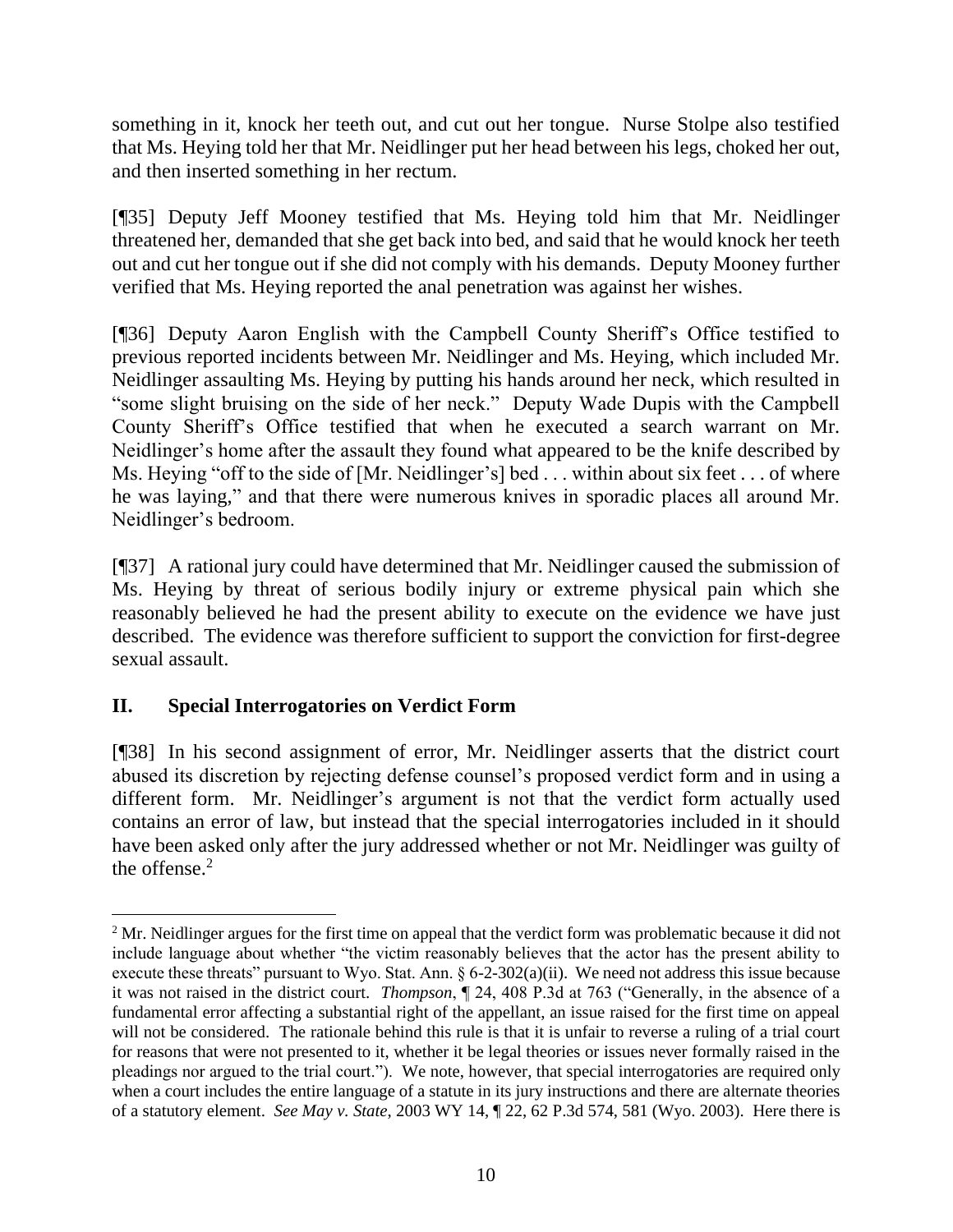something in it, knock her teeth out, and cut out her tongue. Nurse Stolpe also testified that Ms. Heying told her that Mr. Neidlinger put her head between his legs, choked her out, and then inserted something in her rectum.

[¶35] Deputy Jeff Mooney testified that Ms. Heying told him that Mr. Neidlinger threatened her, demanded that she get back into bed, and said that he would knock her teeth out and cut her tongue out if she did not comply with his demands. Deputy Mooney further verified that Ms. Heying reported the anal penetration was against her wishes.

[¶36] Deputy Aaron English with the Campbell County Sheriff's Office testified to previous reported incidents between Mr. Neidlinger and Ms. Heying, which included Mr. Neidlinger assaulting Ms. Heying by putting his hands around her neck, which resulted in "some slight bruising on the side of her neck." Deputy Wade Dupis with the Campbell County Sheriff's Office testified that when he executed a search warrant on Mr. Neidlinger's home after the assault they found what appeared to be the knife described by Ms. Heying "off to the side of [Mr. Neidlinger's] bed . . . within about six feet . . . of where he was laying," and that there were numerous knives in sporadic places all around Mr. Neidlinger's bedroom.

[¶37] A rational jury could have determined that Mr. Neidlinger caused the submission of Ms. Heying by threat of serious bodily injury or extreme physical pain which she reasonably believed he had the present ability to execute on the evidence we have just described. The evidence was therefore sufficient to support the conviction for first-degree sexual assault.

# **II. Special Interrogatories on Verdict Form**

[¶38] In his second assignment of error, Mr. Neidlinger asserts that the district court abused its discretion by rejecting defense counsel's proposed verdict form and in using a different form. Mr. Neidlinger's argument is not that the verdict form actually used contains an error of law, but instead that the special interrogatories included in it should have been asked only after the jury addressed whether or not Mr. Neidlinger was guilty of the offense. 2

<sup>&</sup>lt;sup>2</sup> Mr. Neidlinger argues for the first time on appeal that the verdict form was problematic because it did not include language about whether "the victim reasonably believes that the actor has the present ability to execute these threats" pursuant to Wyo. Stat. Ann.  $\S 6$ -2-302(a)(ii). We need not address this issue because it was not raised in the district court. *Thompson*, ¶ 24, 408 P.3d at 763 ("Generally, in the absence of a fundamental error affecting a substantial right of the appellant, an issue raised for the first time on appeal will not be considered. The rationale behind this rule is that it is unfair to reverse a ruling of a trial court for reasons that were not presented to it, whether it be legal theories or issues never formally raised in the pleadings nor argued to the trial court."). We note, however, that special interrogatories are required only when a court includes the entire language of a statute in its jury instructions and there are alternate theories of a statutory element. *See May v. State*, 2003 WY 14, ¶ 22, 62 P.3d 574, 581 (Wyo. 2003). Here there is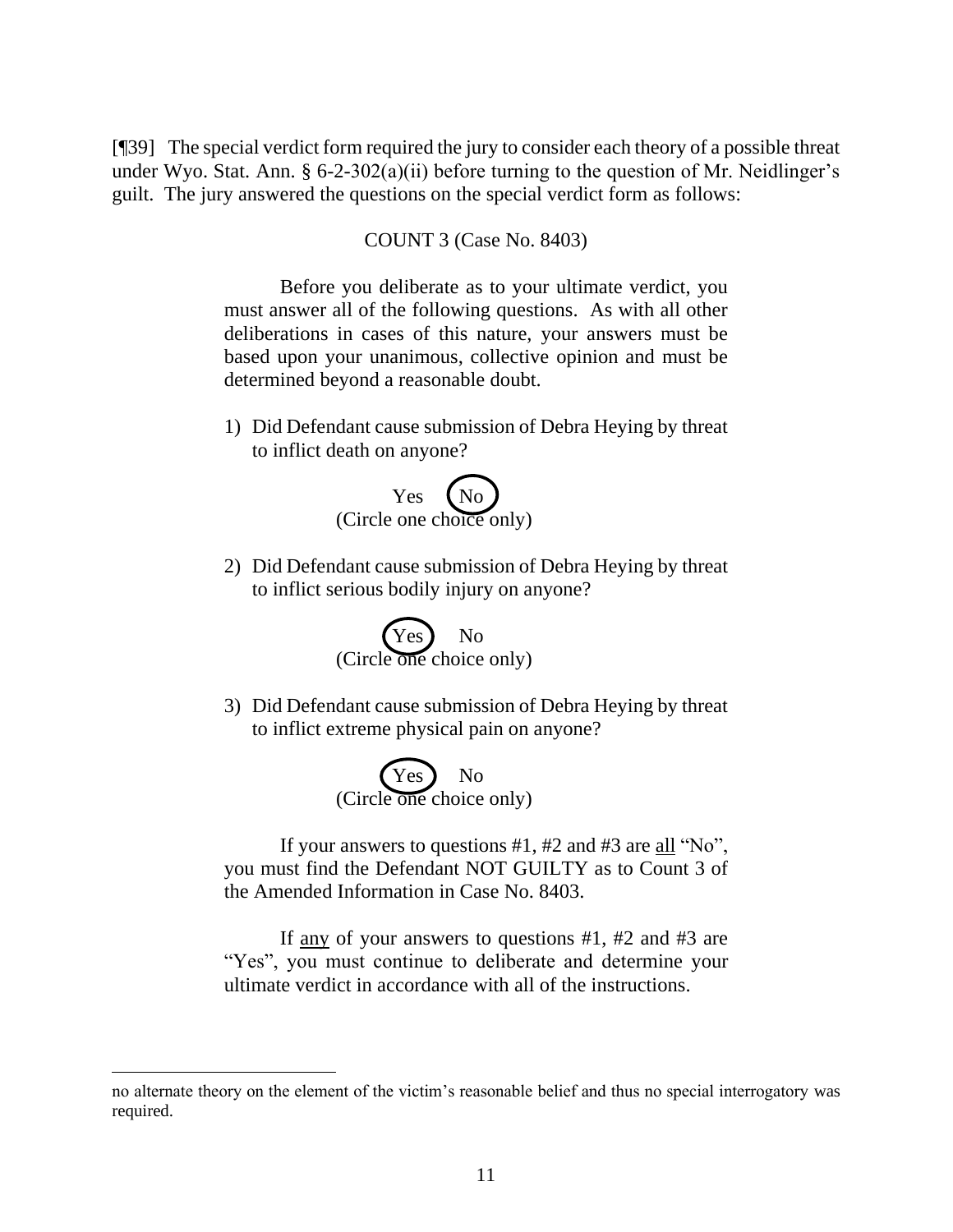[¶39] The special verdict form required the jury to consider each theory of a possible threat under Wyo. Stat. Ann.  $\S 6$ -2-302(a)(ii) before turning to the question of Mr. Neidlinger's guilt. The jury answered the questions on the special verdict form as follows:

COUNT 3 (Case No. 8403)

Before you deliberate as to your ultimate verdict, you must answer all of the following questions. As with all other deliberations in cases of this nature, your answers must be based upon your unanimous, collective opinion and must be determined beyond a reasonable doubt.

1) Did Defendant cause submission of Debra Heying by threat to inflict death on anyone?



2) Did Defendant cause submission of Debra Heying by threat to inflict serious bodily injury on anyone?



3) Did Defendant cause submission of Debra Heying by threat to inflict extreme physical pain on anyone?



If your answers to questions #1, #2 and #3 are all "No", you must find the Defendant NOT GUILTY as to Count 3 of the Amended Information in Case No. 8403.

If any of your answers to questions #1, #2 and #3 are "Yes", you must continue to deliberate and determine your ultimate verdict in accordance with all of the instructions.

no alternate theory on the element of the victim's reasonable belief and thus no special interrogatory was required.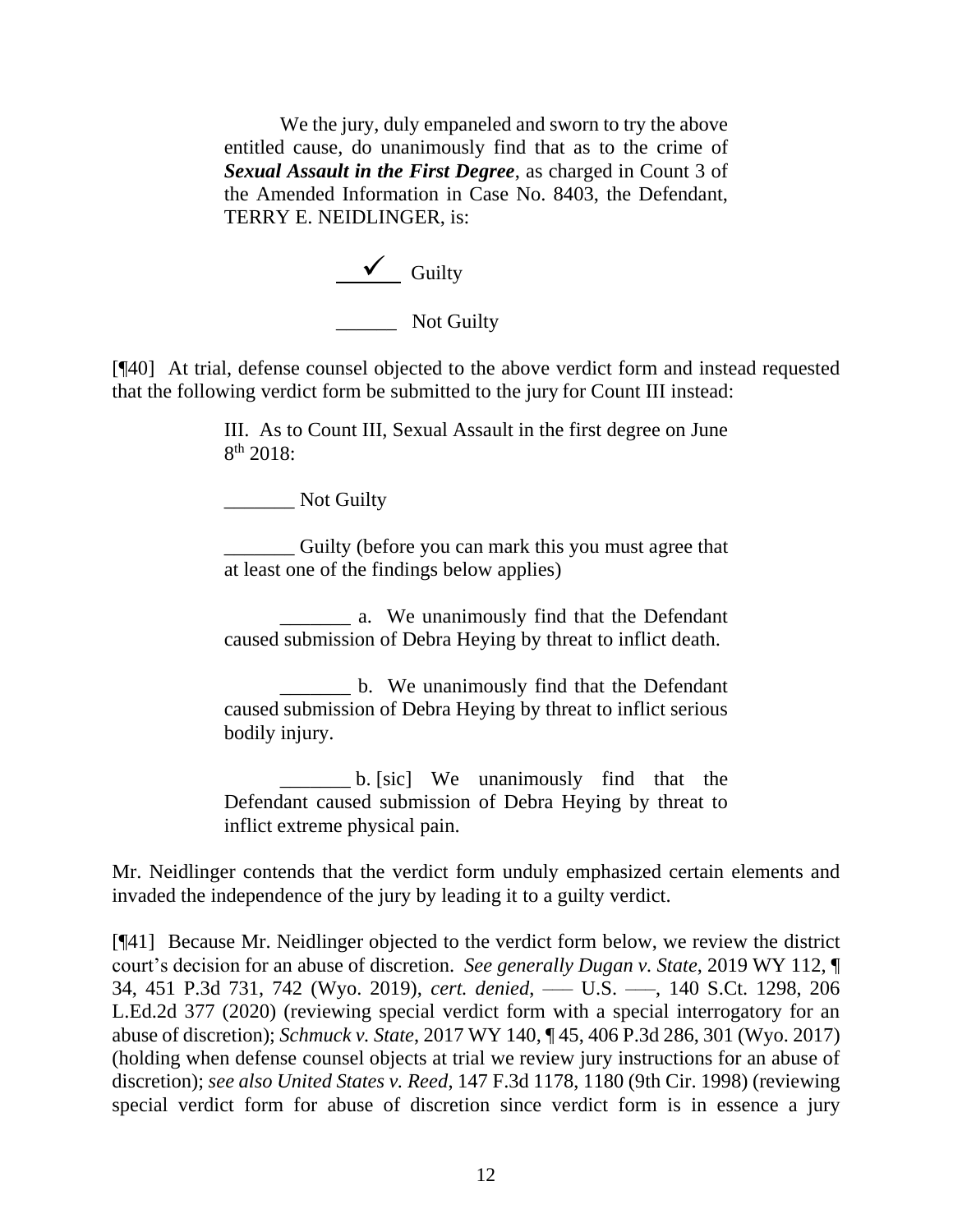We the jury, duly empaneled and sworn to try the above entitled cause, do unanimously find that as to the crime of *Sexual Assault in the First Degree*, as charged in Count 3 of the Amended Information in Case No. 8403, the Defendant, TERRY E. NEIDLINGER, is:

> $\checkmark$  Guilty Not Guilty

[¶40] At trial, defense counsel objected to the above verdict form and instead requested that the following verdict form be submitted to the jury for Count III instead:

> III. As to Count III, Sexual Assault in the first degree on June 8 th 2018:

\_\_\_\_\_\_\_ Not Guilty

\_\_\_\_\_\_\_ Guilty (before you can mark this you must agree that at least one of the findings below applies)

 \_\_\_\_\_\_\_ a. We unanimously find that the Defendant caused submission of Debra Heying by threat to inflict death.

\_\_\_\_\_\_\_ b. We unanimously find that the Defendant caused submission of Debra Heying by threat to inflict serious bodily injury.

\_\_\_\_\_\_\_ b. [sic] We unanimously find that the Defendant caused submission of Debra Heying by threat to inflict extreme physical pain.

Mr. Neidlinger contends that the verdict form unduly emphasized certain elements and invaded the independence of the jury by leading it to a guilty verdict.

[¶41] Because Mr. Neidlinger objected to the verdict form below, we review the district court's decision for an abuse of discretion. *See generally Dugan v. State*, 2019 WY 112, ¶ 34, 451 P.3d 731, 742 (Wyo. 2019), *cert. denied*, ––– U.S. –––, 140 S.Ct. 1298, 206 L.Ed.2d 377 (2020) (reviewing special verdict form with a special interrogatory for an abuse of discretion); *Schmuck v. State*, 2017 WY 140, ¶ 45, 406 P.3d 286, 301 (Wyo. 2017) (holding when defense counsel objects at trial we review jury instructions for an abuse of discretion); *see also United States v. Reed*, 147 F.3d 1178, 1180 (9th Cir. 1998) (reviewing special verdict form for abuse of discretion since verdict form is in essence a jury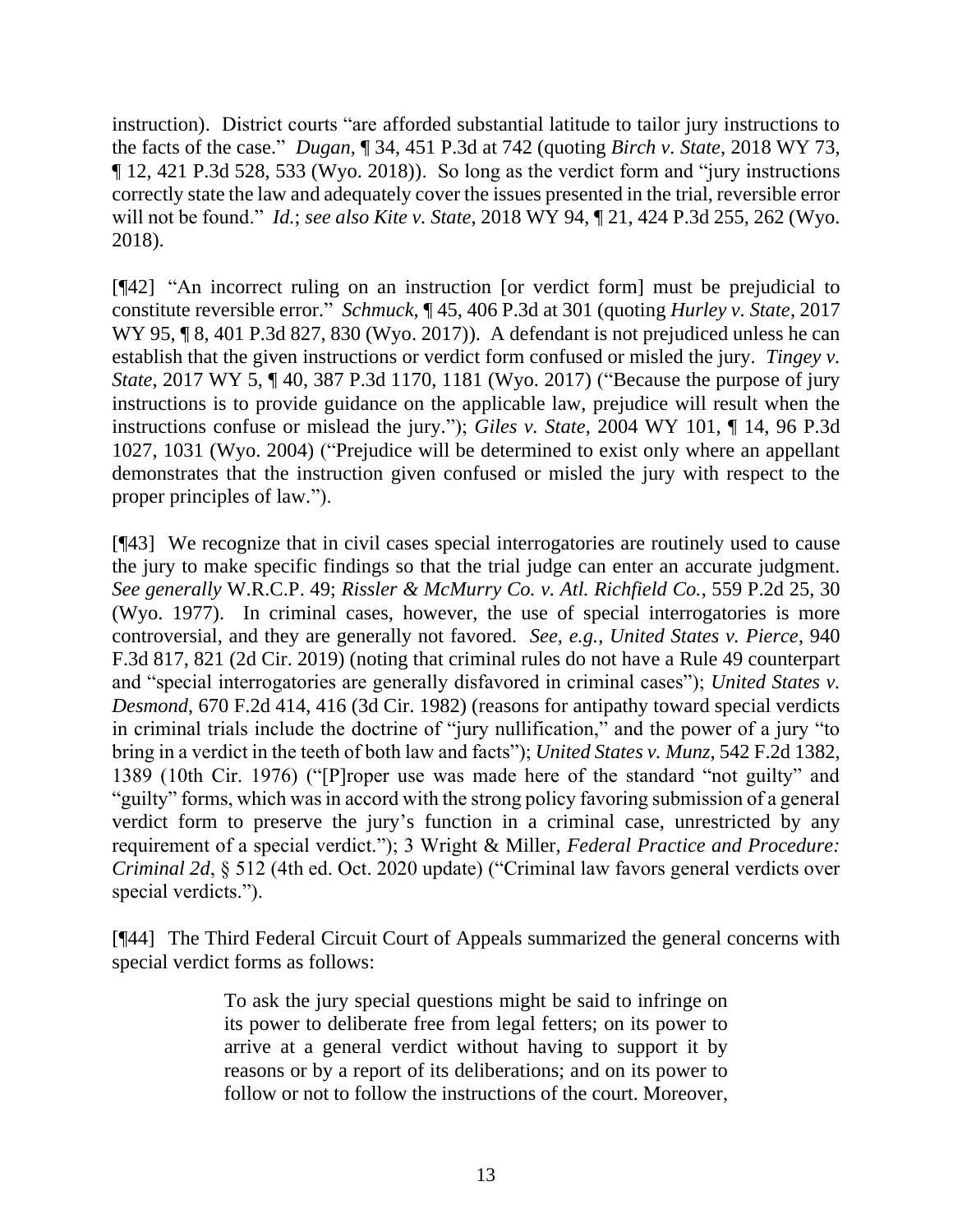instruction). District courts "are afforded substantial latitude to tailor jury instructions to the facts of the case." *Dugan*, ¶ 34, 451 P.3d at 742 (quoting *Birch v. State*, 2018 WY 73, ¶ 12, 421 P.3d 528, 533 (Wyo. 2018)). So long as the verdict form and "jury instructions correctly state the law and adequately cover the issues presented in the trial, reversible error will not be found." *Id.*; *see also Kite v. State*, 2018 WY 94, ¶ 21, 424 P.3d 255, 262 (Wyo. 2018).

[¶42] "An incorrect ruling on an instruction [or verdict form] must be prejudicial to constitute reversible error." *Schmuck*, ¶ 45, 406 P.3d at 301 (quoting *Hurley v. State*, 2017 WY 95, 18, 401 P.3d 827, 830 (Wyo. 2017)). A defendant is not prejudiced unless he can establish that the given instructions or verdict form confused or misled the jury. *Tingey v. State*, 2017 WY 5, ¶ 40, 387 P.3d 1170, 1181 (Wyo. 2017) ("Because the purpose of jury instructions is to provide guidance on the applicable law, prejudice will result when the instructions confuse or mislead the jury."); *Giles v. State*, 2004 WY 101, ¶ 14, 96 P.3d 1027, 1031 (Wyo. 2004) ("Prejudice will be determined to exist only where an appellant demonstrates that the instruction given confused or misled the jury with respect to the proper principles of law.").

[¶43] We recognize that in civil cases special interrogatories are routinely used to cause the jury to make specific findings so that the trial judge can enter an accurate judgment. *See generally* W.R.C.P. 49; *Rissler & McMurry Co. v. Atl. Richfield Co.*, 559 P.2d 25, 30 (Wyo. 1977). In criminal cases, however, the use of special interrogatories is more controversial, and they are generally not favored. *See, e.g.*, *United States v. Pierce*, 940 F.3d 817, 821 (2d Cir. 2019) (noting that criminal rules do not have a Rule 49 counterpart and "special interrogatories are generally disfavored in criminal cases"); *United States v. Desmond*, 670 F.2d 414, 416 (3d Cir. 1982) (reasons for antipathy toward special verdicts in criminal trials include the doctrine of "jury nullification," and the power of a jury "to bring in a verdict in the teeth of both law and facts"); *United States v. Munz*, 542 F.2d 1382, 1389 (10th Cir. 1976) ("[P]roper use was made here of the standard "not guilty" and "guilty" forms, which was in accord with the strong policy favoring submission of a general verdict form to preserve the jury's function in a criminal case, unrestricted by any requirement of a special verdict."); 3 Wright & Miller, *Federal Practice and Procedure: Criminal 2d*, § 512 (4th ed. Oct. 2020 update) ("Criminal law favors general verdicts over special verdicts.").

[¶44] The Third Federal Circuit Court of Appeals summarized the general concerns with special verdict forms as follows:

> To ask the jury special questions might be said to infringe on its power to deliberate free from legal fetters; on its power to arrive at a general verdict without having to support it by reasons or by a report of its deliberations; and on its power to follow or not to follow the instructions of the court. Moreover,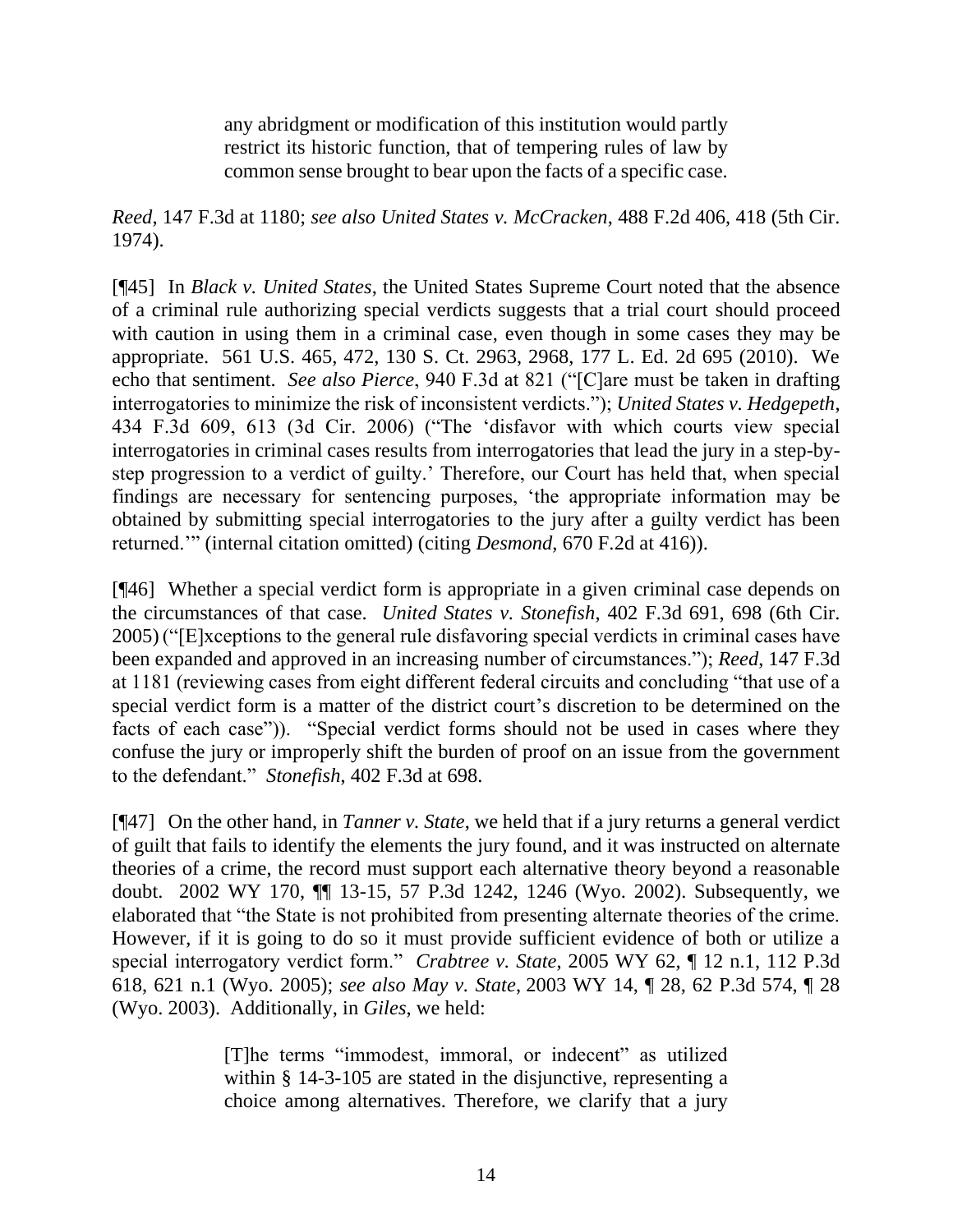any abridgment or modification of this institution would partly restrict its historic function, that of tempering rules of law by common sense brought to bear upon the facts of a specific case.

*Reed*, 147 F.3d at 1180; *see also United States v. McCracken*, 488 F.2d 406, 418 (5th Cir. 1974).

[¶45] In *Black v. United States*, the United States Supreme Court noted that the absence of a criminal rule authorizing special verdicts suggests that a trial court should proceed with caution in using them in a criminal case, even though in some cases they may be appropriate. 561 U.S. 465, 472, 130 S. Ct. 2963, 2968, 177 L. Ed. 2d 695 (2010). We echo that sentiment. *See also Pierce*, 940 F.3d at 821 ("[C]are must be taken in drafting interrogatories to minimize the risk of inconsistent verdicts."); *United States v. Hedgepeth*, 434 F.3d 609, 613 (3d Cir. 2006) ("The 'disfavor with which courts view special interrogatories in criminal cases results from interrogatories that lead the jury in a step-bystep progression to a verdict of guilty.' Therefore, our Court has held that, when special findings are necessary for sentencing purposes, 'the appropriate information may be obtained by submitting special interrogatories to the jury after a guilty verdict has been returned.'" (internal citation omitted) (citing *Desmond*, 670 F.2d at 416)).

[¶46] Whether a special verdict form is appropriate in a given criminal case depends on the circumstances of that case. *United States v. Stonefish*, 402 F.3d 691, 698 (6th Cir. 2005) ("[E]xceptions to the general rule disfavoring special verdicts in criminal cases have been expanded and approved in an increasing number of circumstances."); *Reed*, 147 F.3d at 1181 (reviewing cases from eight different federal circuits and concluding "that use of a special verdict form is a matter of the district court's discretion to be determined on the facts of each case")). "Special verdict forms should not be used in cases where they confuse the jury or improperly shift the burden of proof on an issue from the government to the defendant." *Stonefish*, 402 F.3d at 698.

[¶47] On the other hand, in *Tanner v. State*, we held that if a jury returns a general verdict of guilt that fails to identify the elements the jury found, and it was instructed on alternate theories of a crime, the record must support each alternative theory beyond a reasonable doubt. 2002 WY 170, ¶¶ 13-15, 57 P.3d 1242, 1246 (Wyo. 2002). Subsequently, we elaborated that "the State is not prohibited from presenting alternate theories of the crime. However, if it is going to do so it must provide sufficient evidence of both or utilize a special interrogatory verdict form." *Crabtree v. State*, 2005 WY 62, ¶ 12 n.1, 112 P.3d 618, 621 n.1 (Wyo. 2005); *see also May v. State*, 2003 WY 14, ¶ 28, 62 P.3d 574, ¶ 28 (Wyo. 2003). Additionally, in *Giles*, we held:

> [T]he terms "immodest, immoral, or indecent" as utilized within § 14-3-105 are stated in the disjunctive, representing a choice among alternatives. Therefore, we clarify that a jury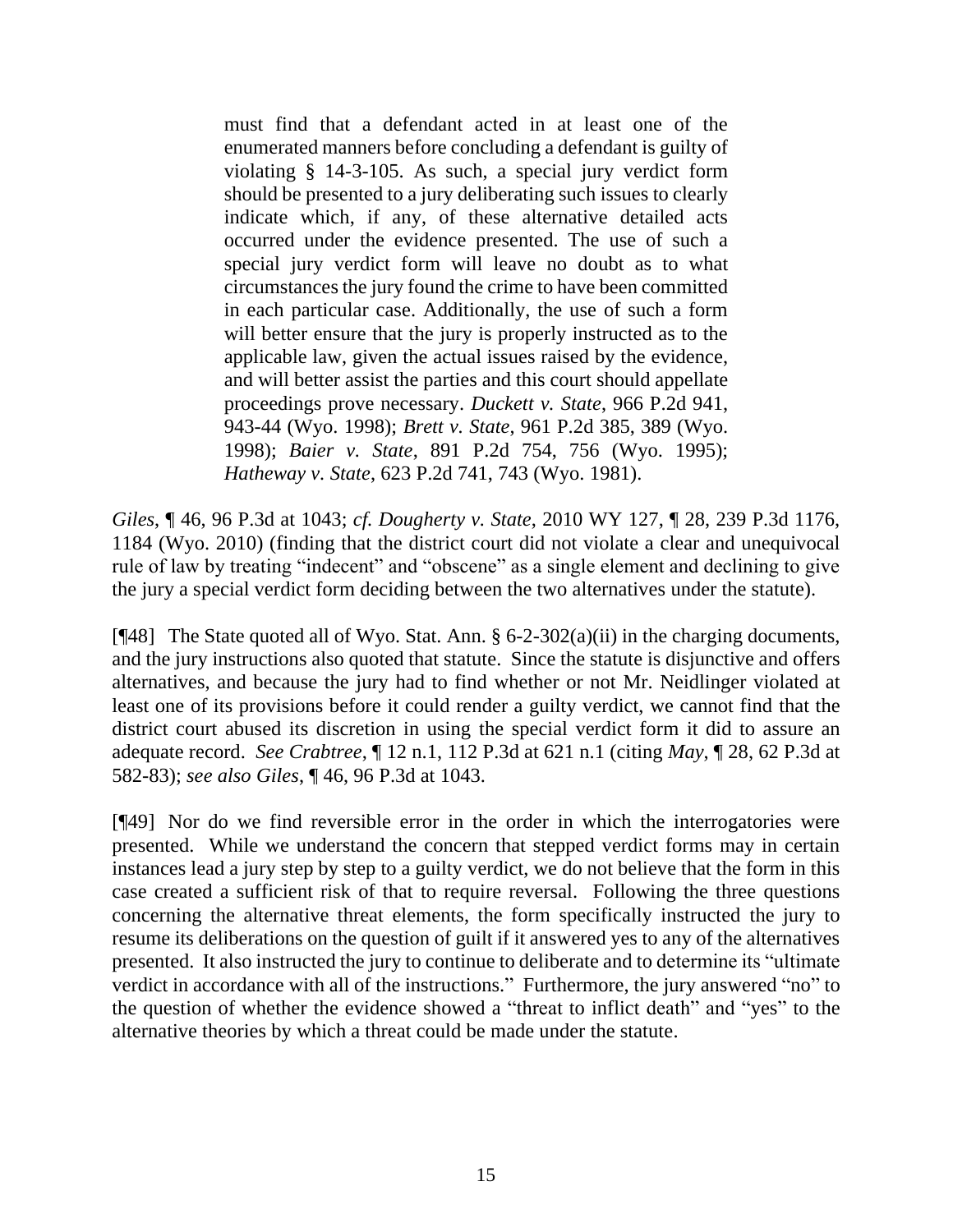must find that a defendant acted in at least one of the enumerated manners before concluding a defendant is guilty of violating § 14-3-105. As such, a special jury verdict form should be presented to a jury deliberating such issues to clearly indicate which, if any, of these alternative detailed acts occurred under the evidence presented. The use of such a special jury verdict form will leave no doubt as to what circumstances the jury found the crime to have been committed in each particular case. Additionally, the use of such a form will better ensure that the jury is properly instructed as to the applicable law, given the actual issues raised by the evidence, and will better assist the parties and this court should appellate proceedings prove necessary. *Duckett v. State*, 966 P.2d 941, 943-44 (Wyo. 1998); *Brett v. State*, 961 P.2d 385, 389 (Wyo. 1998); *Baier v. State*, 891 P.2d 754, 756 (Wyo. 1995); *Hatheway v. State*, 623 P.2d 741, 743 (Wyo. 1981).

*Giles*, ¶ 46, 96 P.3d at 1043; *cf. Dougherty v. State*, 2010 WY 127, ¶ 28, 239 P.3d 1176, 1184 (Wyo. 2010) (finding that the district court did not violate a clear and unequivocal rule of law by treating "indecent" and "obscene" as a single element and declining to give the jury a special verdict form deciding between the two alternatives under the statute).

[ $[$ 48] The State quoted all of Wyo. Stat. Ann. § 6-2-302(a)(ii) in the charging documents, and the jury instructions also quoted that statute. Since the statute is disjunctive and offers alternatives, and because the jury had to find whether or not Mr. Neidlinger violated at least one of its provisions before it could render a guilty verdict, we cannot find that the district court abused its discretion in using the special verdict form it did to assure an adequate record. *See Crabtree*, ¶ 12 n.1, 112 P.3d at 621 n.1 (citing *May*, ¶ 28, 62 P.3d at 582-83); *see also Giles*, ¶ 46, 96 P.3d at 1043.

[¶49] Nor do we find reversible error in the order in which the interrogatories were presented. While we understand the concern that stepped verdict forms may in certain instances lead a jury step by step to a guilty verdict, we do not believe that the form in this case created a sufficient risk of that to require reversal. Following the three questions concerning the alternative threat elements, the form specifically instructed the jury to resume its deliberations on the question of guilt if it answered yes to any of the alternatives presented. It also instructed the jury to continue to deliberate and to determine its "ultimate verdict in accordance with all of the instructions." Furthermore, the jury answered "no" to the question of whether the evidence showed a "threat to inflict death" and "yes" to the alternative theories by which a threat could be made under the statute.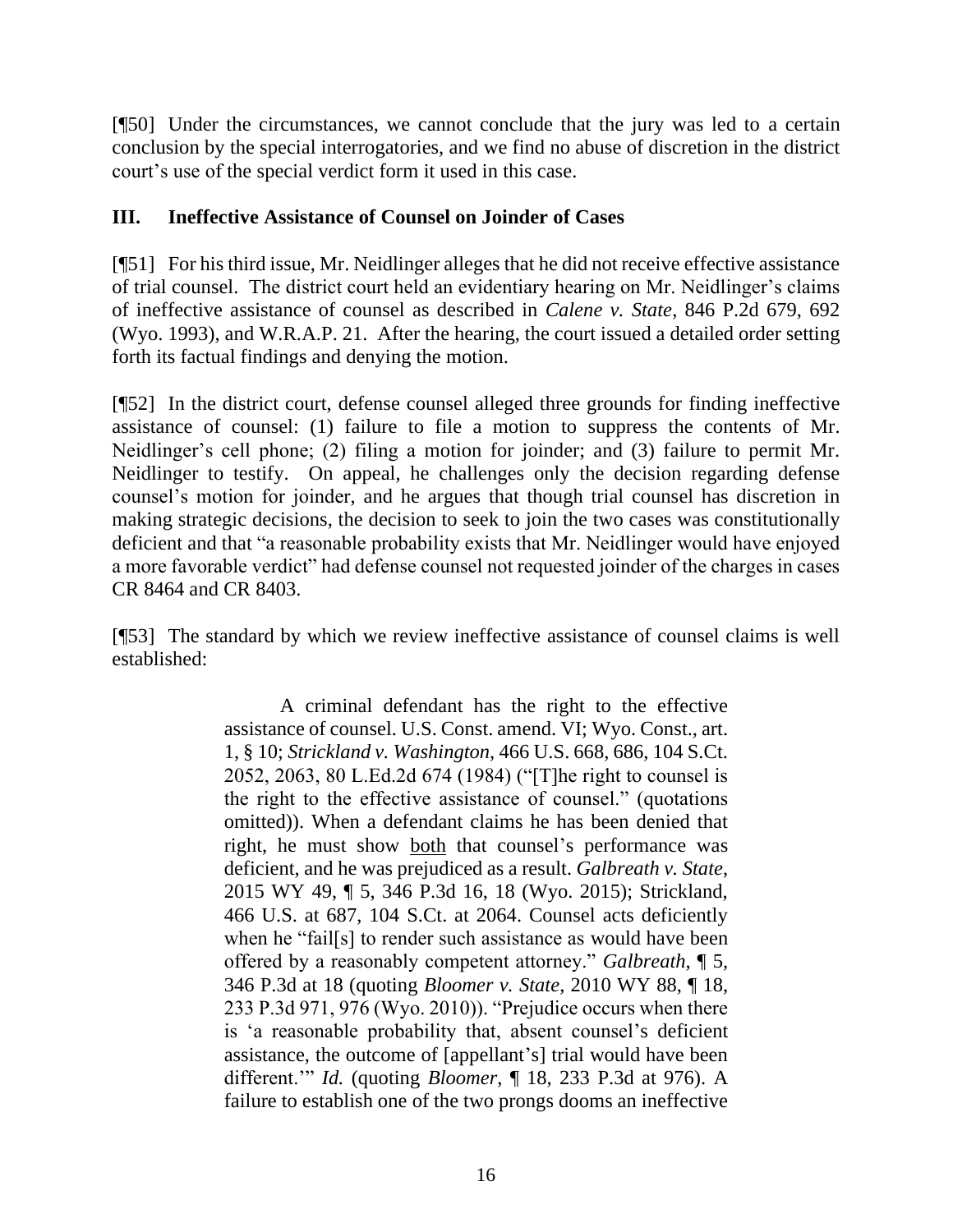[¶50] Under the circumstances, we cannot conclude that the jury was led to a certain conclusion by the special interrogatories, and we find no abuse of discretion in the district court's use of the special verdict form it used in this case.

## **III. Ineffective Assistance of Counsel on Joinder of Cases**

[¶51] For his third issue, Mr. Neidlinger alleges that he did not receive effective assistance of trial counsel. The district court held an evidentiary hearing on Mr. Neidlinger's claims of ineffective assistance of counsel as described in *Calene v. State*, 846 P.2d 679, 692 (Wyo. 1993), and W.R.A.P. 21. After the hearing, the court issued a detailed order setting forth its factual findings and denying the motion.

[¶52] In the district court, defense counsel alleged three grounds for finding ineffective assistance of counsel: (1) failure to file a motion to suppress the contents of Mr. Neidlinger's cell phone; (2) filing a motion for joinder; and (3) failure to permit Mr. Neidlinger to testify. On appeal, he challenges only the decision regarding defense counsel's motion for joinder, and he argues that though trial counsel has discretion in making strategic decisions, the decision to seek to join the two cases was constitutionally deficient and that "a reasonable probability exists that Mr. Neidlinger would have enjoyed a more favorable verdict" had defense counsel not requested joinder of the charges in cases CR 8464 and CR 8403.

[¶53] The standard by which we review ineffective assistance of counsel claims is well established:

> A criminal defendant has the right to the effective assistance of counsel. U.S. Const. amend. VI; Wyo. Const., art. 1, § 10; *Strickland v. Washington*, 466 U.S. 668, 686, 104 S.Ct. 2052, 2063, 80 L.Ed.2d 674 (1984) ("[T]he right to counsel is the right to the effective assistance of counsel." (quotations omitted)). When a defendant claims he has been denied that right, he must show both that counsel's performance was deficient, and he was prejudiced as a result. *Galbreath v. State*, 2015 WY 49, ¶ 5, 346 P.3d 16, 18 (Wyo. 2015); Strickland, 466 U.S. at 687, 104 S.Ct. at 2064. Counsel acts deficiently when he "fail[s] to render such assistance as would have been offered by a reasonably competent attorney." *Galbreath*, ¶ 5, 346 P.3d at 18 (quoting *Bloomer v. State*, 2010 WY 88, ¶ 18, 233 P.3d 971, 976 (Wyo. 2010)). "Prejudice occurs when there is 'a reasonable probability that, absent counsel's deficient assistance, the outcome of [appellant's] trial would have been different.'" *Id.* (quoting *Bloomer*, ¶ 18, 233 P.3d at 976). A failure to establish one of the two prongs dooms an ineffective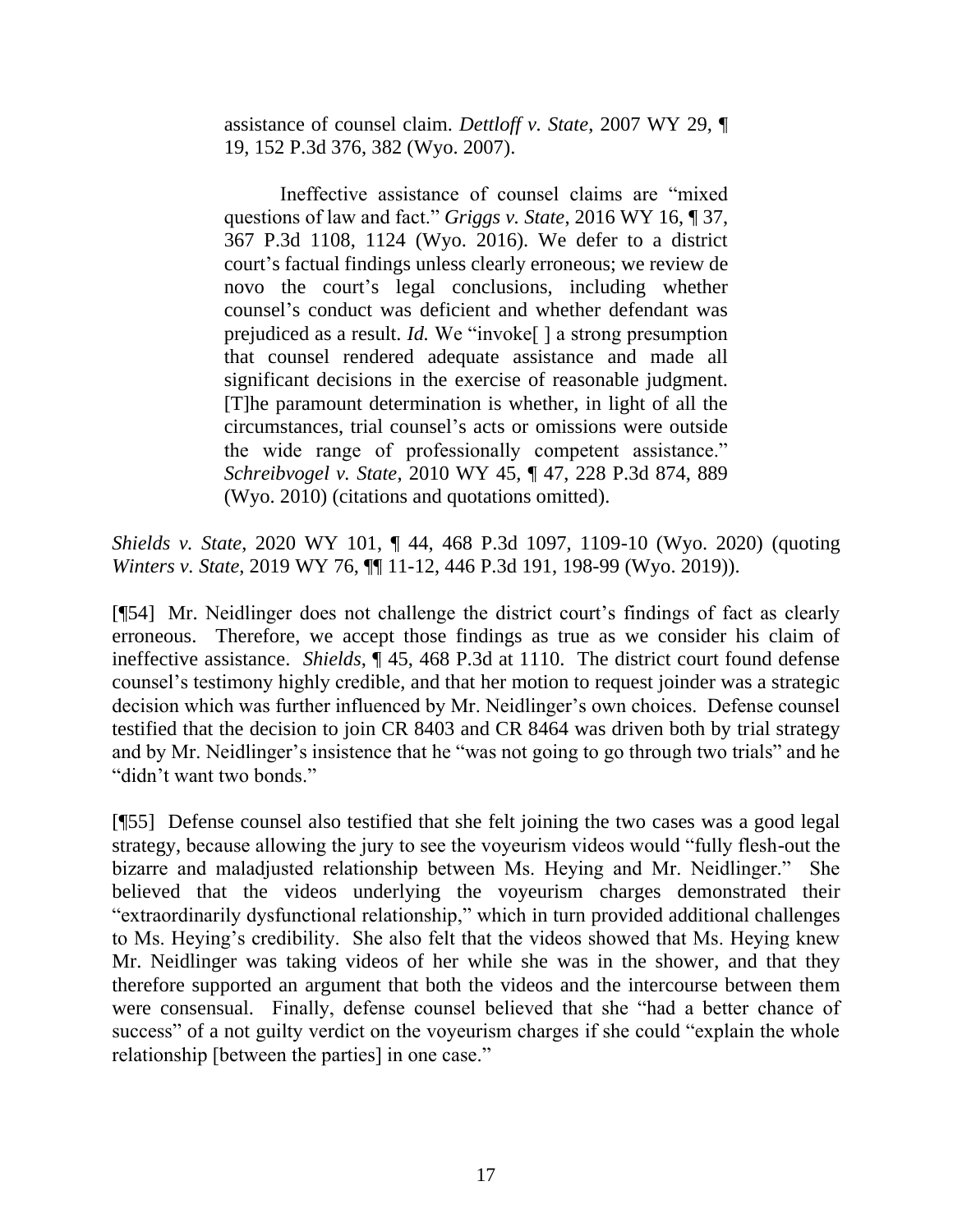assistance of counsel claim. *Dettloff v. State*, 2007 WY 29, ¶ 19, 152 P.3d 376, 382 (Wyo. 2007).

Ineffective assistance of counsel claims are "mixed questions of law and fact." *Griggs v. State*, 2016 WY 16, ¶ 37, 367 P.3d 1108, 1124 (Wyo. 2016). We defer to a district court's factual findings unless clearly erroneous; we review de novo the court's legal conclusions, including whether counsel's conduct was deficient and whether defendant was prejudiced as a result. *Id.* We "invoke[ ] a strong presumption that counsel rendered adequate assistance and made all significant decisions in the exercise of reasonable judgment. [T]he paramount determination is whether, in light of all the circumstances, trial counsel's acts or omissions were outside the wide range of professionally competent assistance." *Schreibvogel v. State*, 2010 WY 45, ¶ 47, 228 P.3d 874, 889 (Wyo. 2010) (citations and quotations omitted).

*Shields v. State*, 2020 WY 101, ¶ 44, 468 P.3d 1097, 1109-10 (Wyo. 2020) (quoting *Winters v. State*, 2019 WY 76, ¶¶ 11-12, 446 P.3d 191, 198-99 (Wyo. 2019)).

[¶54] Mr. Neidlinger does not challenge the district court's findings of fact as clearly erroneous. Therefore, we accept those findings as true as we consider his claim of ineffective assistance. *Shields*, ¶ 45, 468 P.3d at 1110. The district court found defense counsel's testimony highly credible, and that her motion to request joinder was a strategic decision which was further influenced by Mr. Neidlinger's own choices. Defense counsel testified that the decision to join CR 8403 and CR 8464 was driven both by trial strategy and by Mr. Neidlinger's insistence that he "was not going to go through two trials" and he "didn't want two bonds."

[¶55] Defense counsel also testified that she felt joining the two cases was a good legal strategy, because allowing the jury to see the voyeurism videos would "fully flesh-out the bizarre and maladjusted relationship between Ms. Heying and Mr. Neidlinger." She believed that the videos underlying the voyeurism charges demonstrated their "extraordinarily dysfunctional relationship," which in turn provided additional challenges to Ms. Heying's credibility. She also felt that the videos showed that Ms. Heying knew Mr. Neidlinger was taking videos of her while she was in the shower, and that they therefore supported an argument that both the videos and the intercourse between them were consensual. Finally, defense counsel believed that she "had a better chance of success" of a not guilty verdict on the voyeurism charges if she could "explain the whole relationship [between the parties] in one case."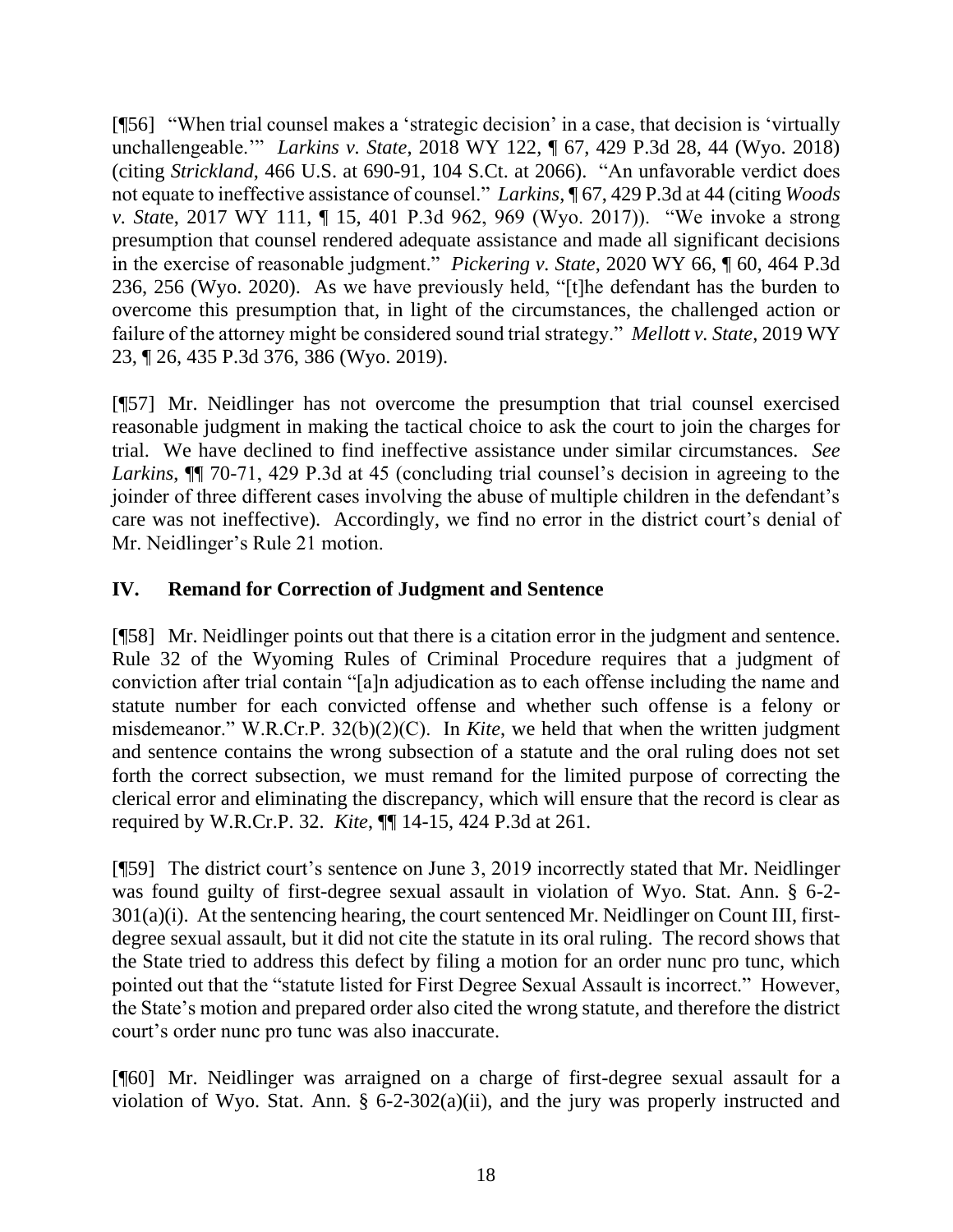[¶56] "When trial counsel makes a 'strategic decision' in a case, that decision is 'virtually unchallengeable.'" *Larkins v. State*, 2018 WY 122, ¶ 67, 429 P.3d 28, 44 (Wyo. 2018) (citing *Strickland*, 466 U.S. at 690-91, 104 S.Ct. at 2066). "An unfavorable verdict does not equate to ineffective assistance of counsel." *Larkins*, ¶ 67, 429 P.3d at 44 (citing *Woods v. Stat*e, 2017 WY 111, ¶ 15, 401 P.3d 962, 969 (Wyo. 2017)). "We invoke a strong presumption that counsel rendered adequate assistance and made all significant decisions in the exercise of reasonable judgment." *Pickering v. State*, 2020 WY 66, ¶ 60, 464 P.3d 236, 256 (Wyo. 2020). As we have previously held, "[t]he defendant has the burden to overcome this presumption that, in light of the circumstances, the challenged action or failure of the attorney might be considered sound trial strategy." *Mellott v. State*, 2019 WY 23, ¶ 26, 435 P.3d 376, 386 (Wyo. 2019).

[¶57] Mr. Neidlinger has not overcome the presumption that trial counsel exercised reasonable judgment in making the tactical choice to ask the court to join the charges for trial. We have declined to find ineffective assistance under similar circumstances. *See Larkins*, ¶¶ 70-71, 429 P.3d at 45 (concluding trial counsel's decision in agreeing to the joinder of three different cases involving the abuse of multiple children in the defendant's care was not ineffective). Accordingly, we find no error in the district court's denial of Mr. Neidlinger's Rule 21 motion.

# **IV. Remand for Correction of Judgment and Sentence**

[¶58] Mr. Neidlinger points out that there is a citation error in the judgment and sentence. Rule 32 of the Wyoming Rules of Criminal Procedure requires that a judgment of conviction after trial contain "[a]n adjudication as to each offense including the name and statute number for each convicted offense and whether such offense is a felony or misdemeanor." W.R.Cr.P. 32(b)(2)(C). In *Kite*, we held that when the written judgment and sentence contains the wrong subsection of a statute and the oral ruling does not set forth the correct subsection, we must remand for the limited purpose of correcting the clerical error and eliminating the discrepancy, which will ensure that the record is clear as required by W.R.Cr.P. 32. *Kite*, ¶¶ 14-15, 424 P.3d at 261.

[¶59] The district court's sentence on June 3, 2019 incorrectly stated that Mr. Neidlinger was found guilty of first-degree sexual assault in violation of Wyo. Stat. Ann. § 6-2- 301(a)(i). At the sentencing hearing, the court sentenced Mr. Neidlinger on Count III, firstdegree sexual assault, but it did not cite the statute in its oral ruling. The record shows that the State tried to address this defect by filing a motion for an order nunc pro tunc, which pointed out that the "statute listed for First Degree Sexual Assault is incorrect." However, the State's motion and prepared order also cited the wrong statute, and therefore the district court's order nunc pro tunc was also inaccurate.

[¶60] Mr. Neidlinger was arraigned on a charge of first-degree sexual assault for a violation of Wyo. Stat. Ann. § 6-2-302(a)(ii), and the jury was properly instructed and